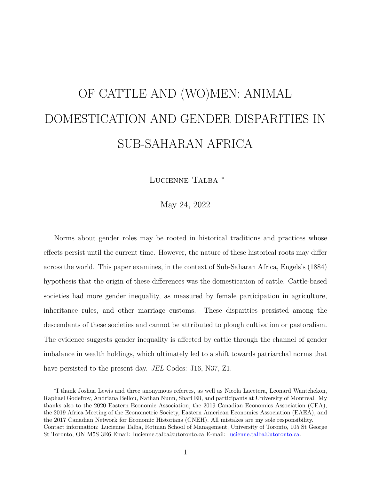# OF CATTLE AND (WO)MEN: ANIMAL DOMESTICATION AND GENDER DISPARITIES IN SUB-SAHARAN AFRICA

Lucienne Talba <sup>∗</sup>

May 24, 2022

Norms about gender roles may be rooted in historical traditions and practices whose effects persist until the current time. However, the nature of these historical roots may differ across the world. This paper examines, in the context of Sub-Saharan Africa, Engels's (1884) hypothesis that the origin of these differences was the domestication of cattle. Cattle-based societies had more gender inequality, as measured by female participation in agriculture, inheritance rules, and other marriage customs. These disparities persisted among the descendants of these societies and cannot be attributed to plough cultivation or pastoralism. The evidence suggests gender inequality is affected by cattle through the channel of gender imbalance in wealth holdings, which ultimately led to a shift towards patriarchal norms that have persisted to the present day. *JEL* Codes: J16, N37, Z1.

<sup>∗</sup> I thank Joshua Lewis and three anonymous referees, as well as Nicola Lacetera, Leonard Wantchekon, Raphael Godefroy, Andriana Bellou, Nathan Nunn, Shari Eli, and participants at University of Montreal. My thanks also to the 2020 Eastern Economic Association, the 2019 Canadian Economics Association (CEA), the 2019 Africa Meeting of the Econometric Society, Eastern American Economics Association (EAEA), and the 2017 Canadian Network for Economic Historians (CNEH). All mistakes are my sole responsibility. Contact information: Lucienne Talba, Rotman School of Management, University of Toronto, 105 St George St Toronto, ON M5S 3E6 Email: lucienne.talba@utoronto.ca E-mail: [lucienne.talba@utoronto.ca.](mailto:lucienne.talba@utoronto.ca)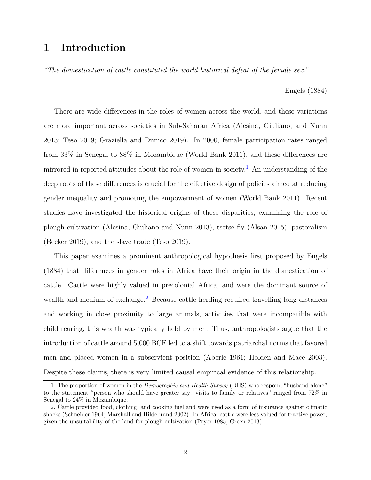## **1 Introduction**

*"The domestication of cattle constituted the world historical defeat of the female sex."*

Engels (1884)

There are wide differences in the roles of women across the world, and these variations are more important across societies in Sub-Saharan Africa (Alesina, Giuliano, and Nunn 2013; Teso 2019; Graziella and Dimico 2019). In 2000, female participation rates ranged from 33% in Senegal to 88% in Mozambique (World Bank 2011), and these differences are mirrored in reported attitudes about the role of women in society.<sup>[1](#page-1-0)</sup> An understanding of the deep roots of these differences is crucial for the effective design of policies aimed at reducing gender inequality and promoting the empowerment of women (World Bank 2011). Recent studies have investigated the historical origins of these disparities, examining the role of plough cultivation (Alesina, Giuliano and Nunn 2013), tsetse fly (Alsan 2015), pastoralism (Becker 2019), and the slave trade (Teso 2019).

This paper examines a prominent anthropological hypothesis first proposed by Engels (1884) that differences in gender roles in Africa have their origin in the domestication of cattle. Cattle were highly valued in precolonial Africa, and were the dominant source of wealth and medium of exchange.<sup>[2](#page-1-1)</sup> Because cattle herding required travelling long distances and working in close proximity to large animals, activities that were incompatible with child rearing, this wealth was typically held by men. Thus, anthropologists argue that the introduction of cattle around 5,000 BCE led to a shift towards patriarchal norms that favored men and placed women in a subservient position (Aberle 1961; Holden and Mace 2003). Despite these claims, there is very limited causal empirical evidence of this relationship.

<span id="page-1-0"></span><sup>1.</sup> The proportion of women in the *Demographic and Health Survey* (DHS) who respond "husband alone" to the statement "person who should have greater say: visits to family or relatives" ranged from 72% in Senegal to 24% in Mozambique.

<span id="page-1-1"></span><sup>2.</sup> Cattle provided food, clothing, and cooking fuel and were used as a form of insurance against climatic shocks (Schneider 1964; Marshall and Hildebrand 2002). In Africa, cattle were less valued for tractive power, given the unsuitability of the land for plough cultivation (Pryor 1985; Green 2013).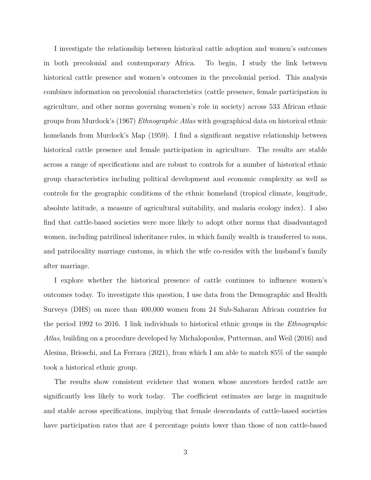I investigate the relationship between historical cattle adoption and women's outcomes in both precolonial and contemporary Africa. To begin, I study the link between historical cattle presence and women's outcomes in the precolonial period. This analysis combines information on precolonial characteristics (cattle presence, female participation in agriculture, and other norms governing women's role in society) across 533 African ethnic groups from Murdock's (1967) *Ethnographic Atlas* with geographical data on historical ethnic homelands from Murdock's Map (1959). I find a significant negative relationship between historical cattle presence and female participation in agriculture. The results are stable across a range of specifications and are robust to controls for a number of historical ethnic group characteristics including political development and economic complexity as well as controls for the geographic conditions of the ethnic homeland (tropical climate, longitude, absolute latitude, a measure of agricultural suitability, and malaria ecology index). I also find that cattle-based societies were more likely to adopt other norms that disadvantaged women, including patrilineal inheritance rules, in which family wealth is transferred to sons, and patrilocality marriage customs, in which the wife co-resides with the husband's family after marriage.

I explore whether the historical presence of cattle continues to influence women's outcomes today. To investigate this question, I use data from the Demographic and Health Surveys (DHS) on more than 400,000 women from 24 Sub-Saharan African countries for the period 1992 to 2016. I link individuals to historical ethnic groups in the *Ethnographic Atlas*, building on a procedure developed by Michalopoulos, Putterman, and Weil (2016) and Alesina, Brioschi, and La Ferrara (2021), from which I am able to match 85% of the sample took a historical ethnic group.

The results show consistent evidence that women whose ancestors herded cattle are significantly less likely to work today. The coefficient estimates are large in magnitude and stable across specifications, implying that female descendants of cattle-based societies have participation rates that are 4 percentage points lower than those of non cattle-based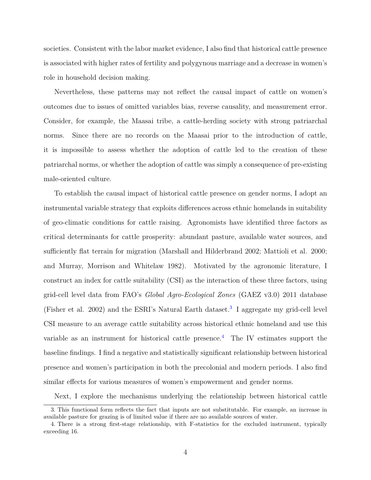societies. Consistent with the labor market evidence, I also find that historical cattle presence is associated with higher rates of fertility and polygynous marriage and a decrease in women's role in household decision making.

Nevertheless, these patterns may not reflect the causal impact of cattle on women's outcomes due to issues of omitted variables bias, reverse causality, and measurement error. Consider, for example, the Maasai tribe, a cattle-herding society with strong patriarchal norms. Since there are no records on the Maasai prior to the introduction of cattle, it is impossible to assess whether the adoption of cattle led to the creation of these patriarchal norms, or whether the adoption of cattle was simply a consequence of pre-existing male-oriented culture.

To establish the causal impact of historical cattle presence on gender norms, I adopt an instrumental variable strategy that exploits differences across ethnic homelands in suitability of geo-climatic conditions for cattle raising. Agronomists have identified three factors as critical determinants for cattle prosperity: abundant pasture, available water sources, and sufficiently flat terrain for migration (Marshall and Hilderbrand 2002; Mattioli et al. 2000; and Murray, Morrison and Whitelaw 1982). Motivated by the agronomic literature, I construct an index for cattle suitability (CSI) as the interaction of these three factors, using grid-cell level data from FAO's *Global Agro-Ecological Zones* (GAEZ v3.0) 2011 database (Fisher et al. 2002) and the ESRI's Natural Earth dataset.<sup>[3](#page-3-0)</sup> I aggregate my grid-cell level CSI measure to an average cattle suitability across historical ethnic homeland and use this variable as an instrument for historical cattle presence.<sup>[4](#page-3-1)</sup> The IV estimates support the baseline findings. I find a negative and statistically significant relationship between historical presence and women's participation in both the precolonial and modern periods. I also find similar effects for various measures of women's empowerment and gender norms.

<span id="page-3-0"></span>Next, I explore the mechanisms underlying the relationship between historical cattle

<sup>3.</sup> This functional form reflects the fact that inputs are not substitutable. For example, an increase in available pasture for grazing is of limited value if there are no available sources of water.

<span id="page-3-1"></span><sup>4.</sup> There is a strong first-stage relationship, with F-statistics for the excluded instrument, typically exceeding 16.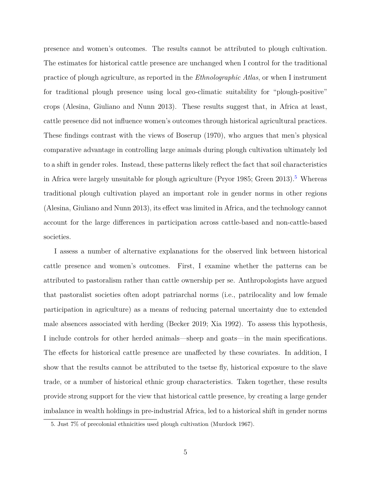presence and women's outcomes. The results cannot be attributed to plough cultivation. The estimates for historical cattle presence are unchanged when I control for the traditional practice of plough agriculture, as reported in the *Ethnolographic Atlas*, or when I instrument for traditional plough presence using local geo-climatic suitability for "plough-positive" crops (Alesina, Giuliano and Nunn 2013). These results suggest that, in Africa at least, cattle presence did not influence women's outcomes through historical agricultural practices. These findings contrast with the views of Boserup (1970), who argues that men's physical comparative advantage in controlling large animals during plough cultivation ultimately led to a shift in gender roles. Instead, these patterns likely reflect the fact that soil characteristics in Africa were largely unsuitable for plough agriculture (Pryor 198[5](#page-4-0); Green 2013).<sup>5</sup> Whereas traditional plough cultivation played an important role in gender norms in other regions (Alesina, Giuliano and Nunn 2013), its effect was limited in Africa, and the technology cannot account for the large differences in participation across cattle-based and non-cattle-based societies.

I assess a number of alternative explanations for the observed link between historical cattle presence and women's outcomes. First, I examine whether the patterns can be attributed to pastoralism rather than cattle ownership per se. Anthropologists have argued that pastoralist societies often adopt patriarchal norms (i.e., patrilocality and low female participation in agriculture) as a means of reducing paternal uncertainty due to extended male absences associated with herding (Becker 2019; Xia 1992). To assess this hypothesis, I include controls for other herded animals—sheep and goats—in the main specifications. The effects for historical cattle presence are unaffected by these covariates. In addition, I show that the results cannot be attributed to the tsetse fly, historical exposure to the slave trade, or a number of historical ethnic group characteristics. Taken together, these results provide strong support for the view that historical cattle presence, by creating a large gender imbalance in wealth holdings in pre-industrial Africa, led to a historical shift in gender norms

<span id="page-4-0"></span><sup>5.</sup> Just 7% of precolonial ethnicities used plough cultivation (Murdock 1967).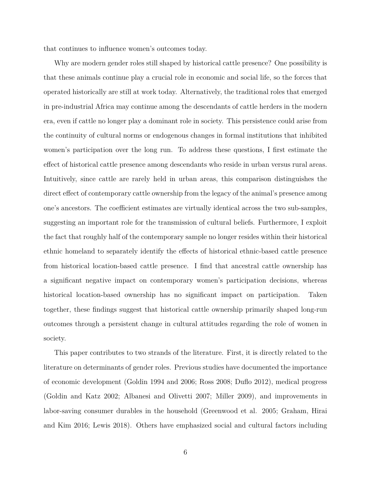that continues to influence women's outcomes today.

Why are modern gender roles still shaped by historical cattle presence? One possibility is that these animals continue play a crucial role in economic and social life, so the forces that operated historically are still at work today. Alternatively, the traditional roles that emerged in pre-industrial Africa may continue among the descendants of cattle herders in the modern era, even if cattle no longer play a dominant role in society. This persistence could arise from the continuity of cultural norms or endogenous changes in formal institutions that inhibited women's participation over the long run. To address these questions, I first estimate the effect of historical cattle presence among descendants who reside in urban versus rural areas. Intuitively, since cattle are rarely held in urban areas, this comparison distinguishes the direct effect of contemporary cattle ownership from the legacy of the animal's presence among one's ancestors. The coefficient estimates are virtually identical across the two sub-samples, suggesting an important role for the transmission of cultural beliefs. Furthermore, I exploit the fact that roughly half of the contemporary sample no longer resides within their historical ethnic homeland to separately identify the effects of historical ethnic-based cattle presence from historical location-based cattle presence. I find that ancestral cattle ownership has a significant negative impact on contemporary women's participation decisions, whereas historical location-based ownership has no significant impact on participation. Taken together, these findings suggest that historical cattle ownership primarily shaped long-run outcomes through a persistent change in cultural attitudes regarding the role of women in society.

This paper contributes to two strands of the literature. First, it is directly related to the literature on determinants of gender roles. Previous studies have documented the importance of economic development (Goldin 1994 and 2006; Ross 2008; Duflo 2012), medical progress (Goldin and Katz 2002; Albanesi and Olivetti 2007; Miller 2009), and improvements in labor-saving consumer durables in the household (Greenwood et al. 2005; Graham, Hirai and Kim 2016; Lewis 2018). Others have emphasized social and cultural factors including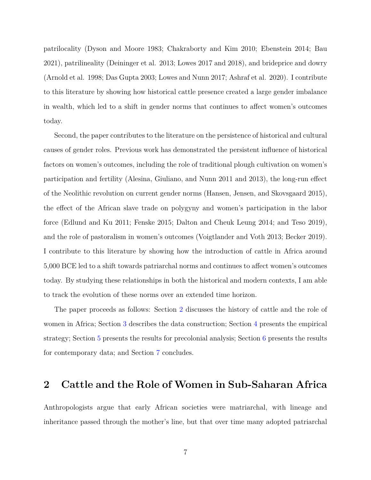patrilocality (Dyson and Moore 1983; Chakraborty and Kim 2010; Ebenstein 2014; Bau 2021), patrilineality (Deininger et al. 2013; Lowes 2017 and 2018), and brideprice and dowry (Arnold et al. 1998; Das Gupta 2003; Lowes and Nunn 2017; Ashraf et al. 2020). I contribute to this literature by showing how historical cattle presence created a large gender imbalance in wealth, which led to a shift in gender norms that continues to affect women's outcomes today.

Second, the paper contributes to the literature on the persistence of historical and cultural causes of gender roles. Previous work has demonstrated the persistent influence of historical factors on women's outcomes, including the role of traditional plough cultivation on women's participation and fertility (Alesina, Giuliano, and Nunn 2011 and 2013), the long-run effect of the Neolithic revolution on current gender norms (Hansen, Jensen, and Skovsgaard 2015), the effect of the African slave trade on polygyny and women's participation in the labor force (Edlund and Ku 2011; Fenske 2015; Dalton and Cheuk Leung 2014; and Teso 2019), and the role of pastoralism in women's outcomes (Voigtlander and Voth 2013; Becker 2019). I contribute to this literature by showing how the introduction of cattle in Africa around 5,000 BCE led to a shift towards patriarchal norms and continues to affect women's outcomes today. By studying these relationships in both the historical and modern contexts, I am able to track the evolution of these norms over an extended time horizon.

The paper proceeds as follows: Section [2](#page-6-0) discusses the history of cattle and the role of women in Africa; Section [3](#page-10-0) describes the data construction; Section [4](#page-15-0) presents the empirical strategy; Section [5](#page-20-0) presents the results for precolonial analysis; Section [6](#page-27-0) presents the results for contemporary data; and Section [7](#page-36-0) concludes.

## <span id="page-6-0"></span>**2 Cattle and the Role of Women in Sub-Saharan Africa**

Anthropologists argue that early African societies were matriarchal, with lineage and inheritance passed through the mother's line, but that over time many adopted patriarchal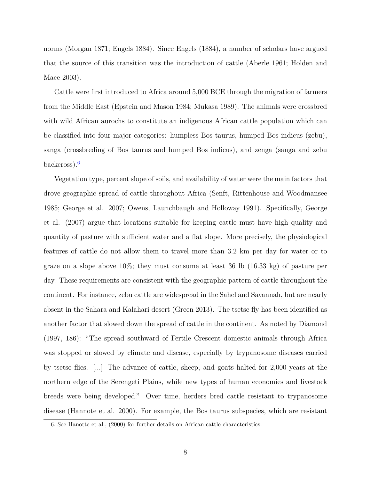norms (Morgan 1871; Engels 1884). Since Engels (1884), a number of scholars have argued that the source of this transition was the introduction of cattle (Aberle 1961; Holden and Mace 2003).

Cattle were first introduced to Africa around 5,000 BCE through the migration of farmers from the Middle East (Epstein and Mason 1984; Mukasa 1989). The animals were crossbred with wild African aurochs to constitute an indigenous African cattle population which can be classified into four major categories: humpless Bos taurus, humped Bos indicus (zebu), sanga (crossbreding of Bos taurus and humped Bos indicus), and zenga (sanga and zebu backcross).[6](#page-7-0)

Vegetation type, percent slope of soils, and availability of water were the main factors that drove geographic spread of cattle throughout Africa (Senft, Rittenhouse and Woodmansee 1985; George et al. 2007; Owens, Launchbaugh and Holloway 1991). Specifically, George et al. (2007) argue that locations suitable for keeping cattle must have high quality and quantity of pasture with sufficient water and a flat slope. More precisely, the physiological features of cattle do not allow them to travel more than 3.2 km per day for water or to graze on a slope above  $10\%$ ; they must consume at least 36 lb  $(16.33 \text{ kg})$  of pasture per day. These requirements are consistent with the geographic pattern of cattle throughout the continent. For instance, zebu cattle are widespread in the Sahel and Savannah, but are nearly absent in the Sahara and Kalahari desert (Green 2013). The tsetse fly has been identified as another factor that slowed down the spread of cattle in the continent. As noted by Diamond (1997, 186): "The spread southward of Fertile Crescent domestic animals through Africa was stopped or slowed by climate and disease, especially by trypanosome diseases carried by tsetse flies. [...] The advance of cattle, sheep, and goats halted for 2,000 years at the northern edge of the Serengeti Plains, while new types of human economies and livestock breeds were being developed." Over time, herders bred cattle resistant to trypanosome disease (Hannote et al. 2000). For example, the Bos taurus subspecies, which are resistant

<span id="page-7-0"></span><sup>6.</sup> See Hanotte et al., (2000) for further details on African cattle characteristics.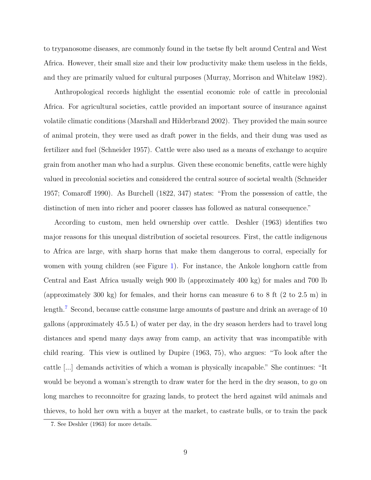to trypanosome diseases, are commonly found in the tsetse fly belt around Central and West Africa. However, their small size and their low productivity make them useless in the fields, and they are primarily valued for cultural purposes (Murray, Morrison and Whitelaw 1982).

Anthropological records highlight the essential economic role of cattle in precolonial Africa. For agricultural societies, cattle provided an important source of insurance against volatile climatic conditions (Marshall and Hilderbrand 2002). They provided the main source of animal protein, they were used as draft power in the fields, and their dung was used as fertilizer and fuel (Schneider 1957). Cattle were also used as a means of exchange to acquire grain from another man who had a surplus. Given these economic benefits, cattle were highly valued in precolonial societies and considered the central source of societal wealth (Schneider 1957; Comaroff 1990). As Burchell (1822, 347) states: "From the possession of cattle, the distinction of men into richer and poorer classes has followed as natural consequence."

According to custom, men held ownership over cattle. Deshler (1963) identifies two major reasons for this unequal distribution of societal resources. First, the cattle indigenous to Africa are large, with sharp horns that make them dangerous to corral, especially for women with young children (see Figure [1\)](#page-47-0). For instance, the Ankole longhorn cattle from Central and East Africa usually weigh 900 lb (approximately 400 kg) for males and 700 lb (approximately 300 kg) for females, and their horns can measure 6 to 8 ft (2 to 2.5 m) in length.<sup>[7](#page-8-0)</sup> Second, because cattle consume large amounts of pasture and drink an average of 10 gallons (approximately 45.5 L) of water per day, in the dry season herders had to travel long distances and spend many days away from camp, an activity that was incompatible with child rearing. This view is outlined by Dupire (1963, 75), who argues: "To look after the cattle [...] demands activities of which a woman is physically incapable." She continues: "It would be beyond a woman's strength to draw water for the herd in the dry season, to go on long marches to reconnoitre for grazing lands, to protect the herd against wild animals and thieves, to hold her own with a buyer at the market, to castrate bulls, or to train the pack

<span id="page-8-0"></span><sup>7.</sup> See Deshler (1963) for more details.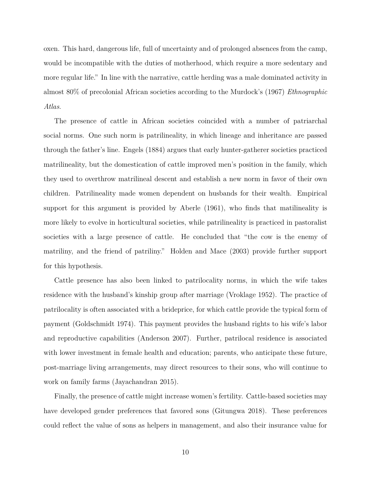oxen. This hard, dangerous life, full of uncertainty and of prolonged absences from the camp, would be incompatible with the duties of motherhood, which require a more sedentary and more regular life." In line with the narrative, cattle herding was a male dominated activity in almost 80% of precolonial African societies according to the Murdock's (1967) *Ethnographic Atlas*.

The presence of cattle in African societies coincided with a number of patriarchal social norms. One such norm is patrilineality, in which lineage and inheritance are passed through the father's line. Engels (1884) argues that early hunter-gatherer societies practiced matrilineality, but the domestication of cattle improved men's position in the family, which they used to overthrow matrilineal descent and establish a new norm in favor of their own children. Patrilineality made women dependent on husbands for their wealth. Empirical support for this argument is provided by Aberle (1961), who finds that matilineality is more likely to evolve in horticultural societies, while patrilineality is practiced in pastoralist societies with a large presence of cattle. He concluded that "the cow is the enemy of matriliny, and the friend of patriliny." Holden and Mace (2003) provide further support for this hypothesis.

Cattle presence has also been linked to patrilocality norms, in which the wife takes residence with the husband's kinship group after marriage (Vroklage 1952). The practice of patrilocality is often associated with a brideprice, for which cattle provide the typical form of payment (Goldschmidt 1974). This payment provides the husband rights to his wife's labor and reproductive capabilities (Anderson 2007). Further, patrilocal residence is associated with lower investment in female health and education; parents, who anticipate these future, post-marriage living arrangements, may direct resources to their sons, who will continue to work on family farms (Jayachandran 2015).

Finally, the presence of cattle might increase women's fertility. Cattle-based societies may have developed gender preferences that favored sons (Gitungwa 2018). These preferences could reflect the value of sons as helpers in management, and also their insurance value for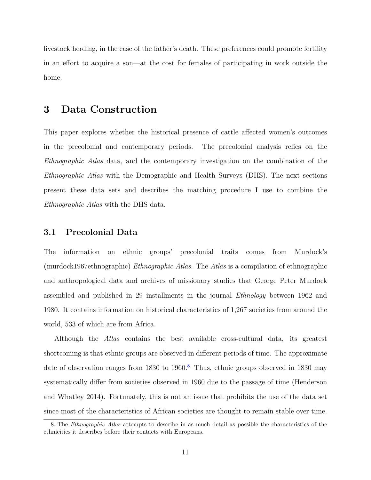livestock herding, in the case of the father's death. These preferences could promote fertility in an effort to acquire a son—at the cost for females of participating in work outside the home.

## <span id="page-10-0"></span>**3 Data Construction**

This paper explores whether the historical presence of cattle affected women's outcomes in the precolonial and contemporary periods. The precolonial analysis relies on the *Ethnographic Atlas* data, and the contemporary investigation on the combination of the *Ethnographic Atlas* with the Demographic and Health Surveys (DHS). The next sections present these data sets and describes the matching procedure I use to combine the *Ethnographic Atlas* with the DHS data.

#### **3.1 Precolonial Data**

The information on ethnic groups' precolonial traits comes from Murdock's **(**murdock1967ethnographic) *Ethnographic Atlas*. The *Atlas* is a compilation of ethnographic and anthropological data and archives of missionary studies that George Peter Murdock assembled and published in 29 installments in the journal *Ethnology* between 1962 and 1980. It contains information on historical characteristics of 1,267 societies from around the world, 533 of which are from Africa.

Although the *Atlas* contains the best available cross-cultural data, its greatest shortcoming is that ethnic groups are observed in different periods of time. The approximate date of observation ranges from  $1830$  $1830$  $1830$  to  $1960$ .<sup>8</sup> Thus, ethnic groups observed in 1830 may systematically differ from societies observed in 1960 due to the passage of time (Henderson and Whatley 2014). Fortunately, this is not an issue that prohibits the use of the data set since most of the characteristics of African societies are thought to remain stable over time.

<span id="page-10-1"></span><sup>8.</sup> The *Ethnographic Atlas* attempts to describe in as much detail as possible the characteristics of the ethnicities it describes before their contacts with Europeans.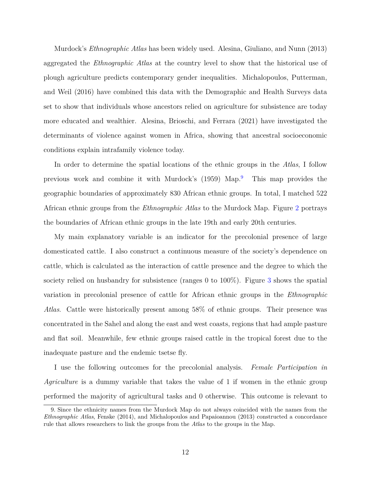Murdock's *Ethnographic Atlas* has been widely used. Alesina, Giuliano, and Nunn (2013) aggregated the *Ethnographic Atlas* at the country level to show that the historical use of plough agriculture predicts contemporary gender inequalities. Michalopoulos, Putterman, and Weil (2016) have combined this data with the Demographic and Health Surveys data set to show that individuals whose ancestors relied on agriculture for subsistence are today more educated and wealthier. Alesina, Brioschi, and Ferrara (2021) have investigated the determinants of violence against women in Africa, showing that ancestral socioeconomic conditions explain intrafamily violence today.

In order to determine the spatial locations of the ethnic groups in the *Atlas*, I follow previous work and combine it with Murdock's (1959) Map.[9](#page-11-0) This map provides the geographic boundaries of approximately 830 African ethnic groups. In total, I matched 522 African ethnic groups from the *Ethnographic Atlas* to the Murdock Map. Figure [2](#page-48-0) portrays the boundaries of African ethnic groups in the late 19th and early 20th centuries.

My main explanatory variable is an indicator for the precolonial presence of large domesticated cattle. I also construct a continuous measure of the society's dependence on cattle, which is calculated as the interaction of cattle presence and the degree to which the society relied on husbandry for subsistence (ranges 0 to 100%). Figure [3](#page-49-0) shows the spatial variation in precolonial presence of cattle for African ethnic groups in the *Ethnographic Atlas*. Cattle were historically present among 58% of ethnic groups. Their presence was concentrated in the Sahel and along the east and west coasts, regions that had ample pasture and flat soil. Meanwhile, few ethnic groups raised cattle in the tropical forest due to the inadequate pasture and the endemic tsetse fly.

I use the following outcomes for the precolonial analysis. *Female Participation in Agriculture* is a dummy variable that takes the value of 1 if women in the ethnic group performed the majority of agricultural tasks and 0 otherwise. This outcome is relevant to

<span id="page-11-0"></span><sup>9.</sup> Since the ethnicity names from the Murdock Map do not always coincided with the names from the *Ethnographic Atlas*, Fenske (2014), and Michalopoulos and Papaioannou (2013) constructed a concordance rule that allows researchers to link the groups from the *Atlas* to the groups in the Map.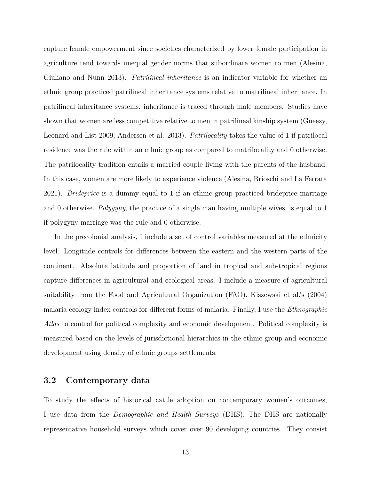capture female empowerment since societies characterized by lower female participation in agriculture tend towards unequal gender norms that subordinate women to men (Alesina, Giuliano and Nunn 2013). *Patrilineal inheritance* is an indicator variable for whether an ethnic group practiced patrilineal inheritance systems relative to matrilineal inheritance. In patrilineal inheritance systems, inheritance is traced through male members. Studies have shown that women are less competitive relative to men in patrilineal kinship system (Gneezy, Leonard and List 2009; Andersen et al. 2013). *Patrilocality* takes the value of 1 if patrilocal residence was the rule within an ethnic group as compared to matrilocality and 0 otherwise. The patrilocality tradition entails a married couple living with the parents of the husband. In this case, women are more likely to experience violence (Alesina, Brioschi and La Ferrara 2021). *Brideprice* is a dummy equal to 1 if an ethnic group practiced brideprice marriage and 0 otherwise. *Polygyny*, the practice of a single man having multiple wives, is equal to 1 if polygyny marriage was the rule and 0 otherwise.

In the precolonial analysis, I include a set of control variables measured at the ethnicity level. Longitude controls for differences between the eastern and the western parts of the continent. Absolute latitude and proportion of land in tropical and sub-tropical regions capture differences in agricultural and ecological areas. I include a measure of agricultural suitability from the Food and Agricultural Organization (FAO). Kiszewski et al.'s (2004) malaria ecology index controls for different forms of malaria. Finally, I use the *Ethnographic Atlas* to control for political complexity and economic development. Political complexity is measured based on the levels of jurisdictional hierarchies in the ethnic group and economic development using density of ethnic groups settlements.

#### **3.2 Contemporary data**

To study the effects of historical cattle adoption on contemporary women's outcomes, I use data from the *Demographic and Health Surveys* (DHS). The DHS are nationally representative household surveys which cover over 90 developing countries. They consist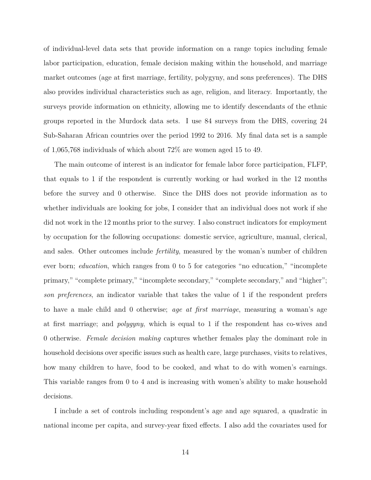of individual-level data sets that provide information on a range topics including female labor participation, education, female decision making within the household, and marriage market outcomes (age at first marriage, fertility, polygyny, and sons preferences). The DHS also provides individual characteristics such as age, religion, and literacy. Importantly, the surveys provide information on ethnicity, allowing me to identify descendants of the ethnic groups reported in the Murdock data sets. I use 84 surveys from the DHS, covering 24 Sub-Saharan African countries over the period 1992 to 2016. My final data set is a sample of 1,065,768 individuals of which about 72% are women aged 15 to 49.

The main outcome of interest is an indicator for female labor force participation, FLFP, that equals to 1 if the respondent is currently working or had worked in the 12 months before the survey and 0 otherwise. Since the DHS does not provide information as to whether individuals are looking for jobs, I consider that an individual does not work if she did not work in the 12 months prior to the survey. I also construct indicators for employment by occupation for the following occupations: domestic service, agriculture, manual, clerical, and sales. Other outcomes include *fertility*, measured by the woman's number of children ever born; *education*, which ranges from 0 to 5 for categories "no education," "incomplete primary," "complete primary," "incomplete secondary," "complete secondary," and "higher"; *son preferences*, an indicator variable that takes the value of 1 if the respondent prefers to have a male child and 0 otherwise; *age at first marriage*, measuring a woman's age at first marriage; and *polygyny*, which is equal to 1 if the respondent has co-wives and 0 otherwise. *Female decision making* captures whether females play the dominant role in household decisions over specific issues such as health care, large purchases, visits to relatives, how many children to have, food to be cooked, and what to do with women's earnings. This variable ranges from 0 to 4 and is increasing with women's ability to make household decisions.

I include a set of controls including respondent's age and age squared, a quadratic in national income per capita, and survey-year fixed effects. I also add the covariates used for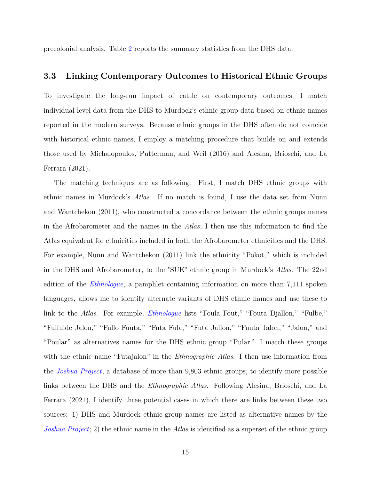precolonial analysis. Table [2](#page-55-0) reports the summary statistics from the DHS data.

#### <span id="page-14-0"></span>**3.3 Linking Contemporary Outcomes to Historical Ethnic Groups**

To investigate the long-run impact of cattle on contemporary outcomes, I match individual-level data from the DHS to Murdock's ethnic group data based on ethnic names reported in the modern surveys. Because ethnic groups in the DHS often do not coincide with historical ethnic names, I employ a matching procedure that builds on and extends those used by Michalopoulos, Putterman, and Weil (2016) and Alesina, Brioschi, and La Ferrara (2021).

The matching techniques are as following. First, I match DHS ethnic groups with ethnic names in Murdock's *Atlas*. If no match is found, I use the data set from Nunn and Wantchekon (2011), who constructed a concordance between the ethnic groups names in the Afrobarometer and the names in the *Atlas*; I then use this information to find the Atlas equivalent for ethnicities included in both the Afrobarometer ethnicities and the DHS. For example, Nunn and Wantchekon (2011) link the ethnicity "Pokot," which is included in the DHS and Afrobarometer, to the "SUK" ethnic group in Murdock's *Atlas*. The 22nd edition of the *[Ethnologue](https://www.ethnologue.com/)*, a pamphlet containing information on more than 7,111 spoken languages, allows me to identify alternate variants of DHS ethnic names and use these to link to the *Atlas*. For example, *[Ethnologue](https://www.ethnologue.com/)* lists "Foula Fout," "Fouta Djallon," "Fulbe," "Fulfulde Jalon," "Fullo Fuuta," "Futa Fula," "Futa Jallon," "Fuuta Jalon," "Jalon," and "Poular" as alternatives names for the DHS ethnic group "Pular." I match these groups with the ethnic name "Futajalon" in the *Ethnographic Atlas*. I then use information from the *[Joshua Project](https://m.joshuaproject.net/about/details)*, a database of more than 9,803 ethnic groups, to identify more possible links between the DHS and the *Ethnographic Atlas*. Following Alesina, Brioschi, and La Ferrara (2021), I identify three potential cases in which there are links between these two sources: 1) DHS and Murdock ethnic-group names are listed as alternative names by the *[Joshua Project](https://m.joshuaproject.net/about/details)*; 2) the ethnic name in the *Atlas* is identified as a superset of the ethnic group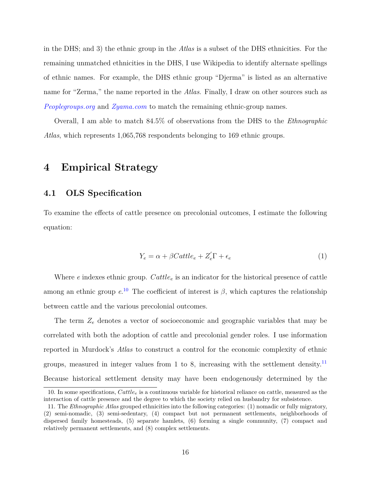in the DHS; and 3) the ethnic group in the *Atlas* is a subset of the DHS ethnicities. For the remaining unmatched ethnicities in the DHS, I use Wikipedia to identify alternate spellings of ethnic names. For example, the DHS ethnic group "Djerma" is listed as an alternative name for "Zerma," the name reported in the *Atlas*. Finally, I draw on other sources such as *[Peoplegroups.org](https://peoplegroups.org/)* and *[Zyama.com](https://www.zyama.com/)* to match the remaining ethnic-group names.

Overall, I am able to match 84.5% of observations from the DHS to the *Ethnographic Atlas*, which represents 1,065,768 respondents belonging to 169 ethnic groups.

## <span id="page-15-0"></span>**4 Empirical Strategy**

## **4.1 OLS Specification**

To examine the effects of cattle presence on precolonial outcomes, I estimate the following equation:

$$
Y_e = \alpha + \beta Cattle_e + Z_e' \Gamma + \epsilon_e \tag{1}
$$

Where *e* indexes ethnic group. *Cattle<sup>e</sup>* is an indicator for the historical presence of cattle among an ethnic group  $e^{i\theta}$ . The coefficient of interest is  $\beta$ , which captures the relationship between cattle and the various precolonial outcomes.

The term *Z<sup>e</sup>* denotes a vector of socioeconomic and geographic variables that may be correlated with both the adoption of cattle and precolonial gender roles. I use information reported in Murdock's *Atlas* to construct a control for the economic complexity of ethnic groups, measured in integer values from 1 to 8, increasing with the settlement density.[11](#page-15-2) Because historical settlement density may have been endogenously determined by the

<span id="page-15-1"></span><sup>10.</sup> In some specifications, *Cattle<sup>e</sup>* is a continuous variable for historical reliance on cattle, measured as the interaction of cattle presence and the degree to which the society relied on husbandry for subsistence.

<span id="page-15-2"></span><sup>11.</sup> The *Ethnographic Atlas* grouped ethnicities into the following categories: (1) nomadic or fully migratory, (2) semi-nomadic, (3) semi-sedentary, (4) compact but not permanent settlements, neighborhoods of dispersed family homesteads, (5) separate hamlets, (6) forming a single community, (7) compact and relatively permanent settlements, and (8) complex settlements.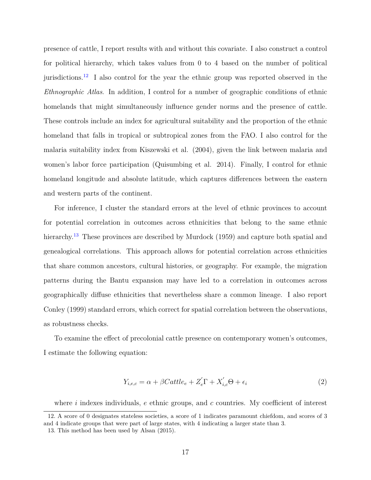presence of cattle, I report results with and without this covariate. I also construct a control for political hierarchy, which takes values from 0 to 4 based on the number of political jurisdictions.<sup>[12](#page-16-0)</sup> I also control for the year the ethnic group was reported observed in the *Ethnographic Atlas*. In addition, I control for a number of geographic conditions of ethnic homelands that might simultaneously influence gender norms and the presence of cattle. These controls include an index for agricultural suitability and the proportion of the ethnic homeland that falls in tropical or subtropical zones from the FAO. I also control for the malaria suitability index from Kiszewski et al. (2004), given the link between malaria and women's labor force participation (Quisumbing et al. 2014). Finally, I control for ethnic homeland longitude and absolute latitude, which captures differences between the eastern and western parts of the continent.

For inference, I cluster the standard errors at the level of ethnic provinces to account for potential correlation in outcomes across ethnicities that belong to the same ethnic hierarchy.<sup>[13](#page-16-1)</sup> These provinces are described by Murdock (1959) and capture both spatial and genealogical correlations. This approach allows for potential correlation across ethnicities that share common ancestors, cultural histories, or geography. For example, the migration patterns during the Bantu expansion may have led to a correlation in outcomes across geographically diffuse ethnicities that nevertheless share a common lineage. I also report Conley (1999) standard errors, which correct for spatial correlation between the observations, as robustness checks.

To examine the effect of precolonial cattle presence on contemporary women's outcomes, I estimate the following equation:

$$
Y_{i,e,c} = \alpha + \beta Cattle_e + Z'_e \Gamma + X'_{i,c} \Theta + \epsilon_i
$$
\n<sup>(2)</sup>

<span id="page-16-0"></span>where *i* indexes individuals, *e* ethnic groups, and *c* countries. My coefficient of interest

<sup>12.</sup> A score of 0 designates stateless societies, a score of 1 indicates paramount chiefdom, and scores of 3 and 4 indicate groups that were part of large states, with 4 indicating a larger state than 3.

<span id="page-16-1"></span><sup>13.</sup> This method has been used by Alsan (2015).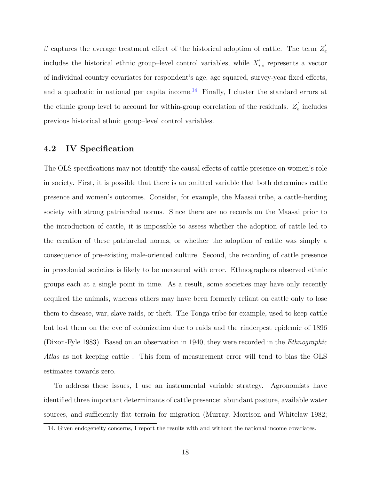β captures the average treatment effect of the historical adoption of cattle. The term  $Z'_{\epsilon}$ *e* includes the historical ethnic group–level control variables, while  $X'_{i,c}$  represents a vector of individual country covariates for respondent's age, age squared, survey-year fixed effects, and a quadratic in national per capita income.<sup>[14](#page-17-0)</sup> Finally, I cluster the standard errors at the ethnic group level to account for within-group correlation of the residuals.  $Z'_{\epsilon}$  $e \nvert$  includes previous historical ethnic group–level control variables.

## **4.2 IV Specification**

The OLS specifications may not identify the causal effects of cattle presence on women's role in society. First, it is possible that there is an omitted variable that both determines cattle presence and women's outcomes. Consider, for example, the Maasai tribe, a cattle-herding society with strong patriarchal norms. Since there are no records on the Maasai prior to the introduction of cattle, it is impossible to assess whether the adoption of cattle led to the creation of these patriarchal norms, or whether the adoption of cattle was simply a consequence of pre-existing male-oriented culture. Second, the recording of cattle presence in precolonial societies is likely to be measured with error. Ethnographers observed ethnic groups each at a single point in time. As a result, some societies may have only recently acquired the animals, whereas others may have been formerly reliant on cattle only to lose them to disease, war, slave raids, or theft. The Tonga tribe for example, used to keep cattle but lost them on the eve of colonization due to raids and the rinderpest epidemic of 1896 (Dixon-Fyle 1983). Based on an observation in 1940, they were recorded in the *Ethnographic Atlas* as not keeping cattle . This form of measurement error will tend to bias the OLS estimates towards zero.

To address these issues, I use an instrumental variable strategy. Agronomists have identified three important determinants of cattle presence: abundant pasture, available water sources, and sufficiently flat terrain for migration (Murray, Morrison and Whitelaw 1982;

<span id="page-17-0"></span><sup>14.</sup> Given endogeneity concerns, I report the results with and without the national income covariates.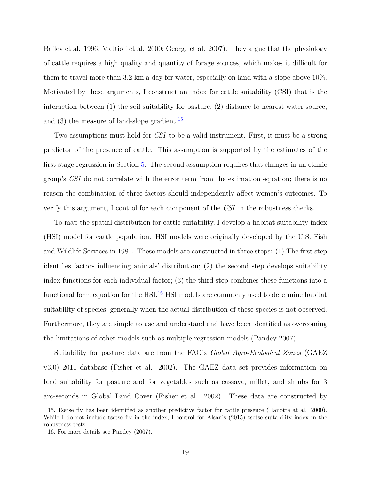Bailey et al. 1996; Mattioli et al. 2000; George et al. 2007). They argue that the physiology of cattle requires a high quality and quantity of forage sources, which makes it difficult for them to travel more than 3.2 km a day for water, especially on land with a slope above 10%. Motivated by these arguments, I construct an index for cattle suitability (CSI) that is the interaction between (1) the soil suitability for pasture, (2) distance to nearest water source, and  $(3)$  the measure of land-slope gradient.<sup>[15](#page-18-0)</sup>

Two assumptions must hold for *CSI* to be a valid instrument. First, it must be a strong predictor of the presence of cattle. This assumption is supported by the estimates of the first-stage regression in Section [5.](#page-20-0) The second assumption requires that changes in an ethnic group's *CSI* do not correlate with the error term from the estimation equation; there is no reason the combination of three factors should independently affect women's outcomes. To verify this argument, I control for each component of the *CSI* in the robustness checks.

To map the spatial distribution for cattle suitability, I develop a habitat suitability index (HSI) model for cattle population. HSI models were originally developed by the U.S. Fish and Wildlife Services in 1981. These models are constructed in three steps: (1) The first step identifies factors influencing animals' distribution; (2) the second step develops suitability index functions for each individual factor; (3) the third step combines these functions into a functional form equation for the HSI.<sup>[16](#page-18-1)</sup> HSI models are commonly used to determine habitat suitability of species, generally when the actual distribution of these species is not observed. Furthermore, they are simple to use and understand and have been identified as overcoming the limitations of other models such as multiple regression models (Pandey 2007).

Suitability for pasture data are from the FAO's *Global Agro-Ecological Zones* (GAEZ v3.0) 2011 database (Fisher et al. 2002). The GAEZ data set provides information on land suitability for pasture and for vegetables such as cassava, millet, and shrubs for 3 arc-seconds in Global Land Cover (Fisher et al. 2002). These data are constructed by

<span id="page-18-0"></span><sup>15.</sup> Tsetse fly has been identified as another predictive factor for cattle presence (Hanotte at al. 2000). While I do not include tsetse fly in the index, I control for Alsan's (2015) tsetse suitability index in the robustness tests.

<span id="page-18-1"></span><sup>16.</sup> For more details see Pandey (2007).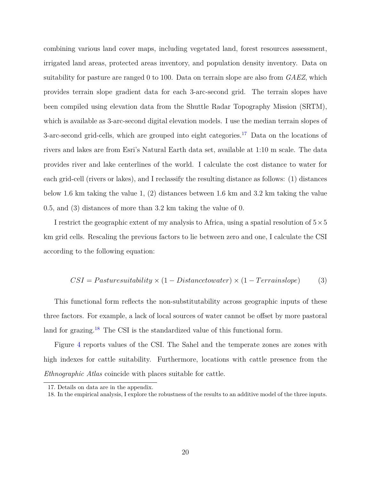combining various land cover maps, including vegetated land, forest resources assessment, irrigated land areas, protected areas inventory, and population density inventory. Data on suitability for pasture are ranged 0 to 100. Data on terrain slope are also from *GAEZ*, which provides terrain slope gradient data for each 3-arc-second grid. The terrain slopes have been compiled using elevation data from the Shuttle Radar Topography Mission (SRTM), which is available as 3-arc-second digital elevation models. I use the median terrain slopes of 3-arc-second grid-cells, which are grouped into eight categories.[17](#page-19-0) Data on the locations of rivers and lakes are from Esri's Natural Earth data set, available at 1:10 m scale. The data provides river and lake centerlines of the world. I calculate the cost distance to water for each grid-cell (rivers or lakes), and I reclassify the resulting distance as follows: (1) distances below 1.6 km taking the value 1, (2) distances between 1.6 km and 3.2 km taking the value 0.5, and (3) distances of more than 3.2 km taking the value of 0.

I restrict the geographic extent of my analysis to Africa, using a spatial resolution of  $5\times 5$ km grid cells. Rescaling the previous factors to lie between zero and one, I calculate the CSI according to the following equation:

$$
CSI = Pasturesuitability \times (1 - Distancetowater) \times (1 - Terrainslope)
$$
 (3)

This functional form reflects the non-substitutability across geographic inputs of these three factors. For example, a lack of local sources of water cannot be offset by more pastoral land for grazing.<sup>[18](#page-19-1)</sup> The CSI is the standardized value of this functional form.

Figure [4](#page-50-0) reports values of the CSI. The Sahel and the temperate zones are zones with high indexes for cattle suitability. Furthermore, locations with cattle presence from the *Ethnographic Atlas* coincide with places suitable for cattle.

<span id="page-19-0"></span><sup>17.</sup> Details on data are in the appendix.

<span id="page-19-1"></span><sup>18.</sup> In the empirical analysis, I explore the robustness of the results to an additive model of the three inputs.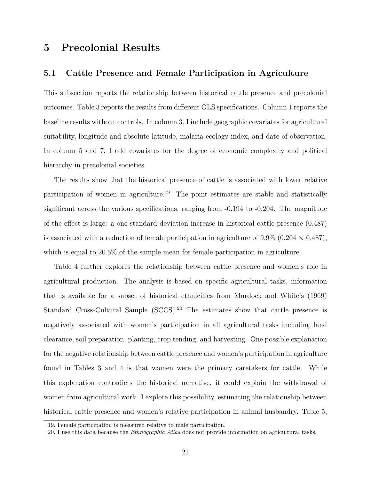## <span id="page-20-0"></span>**5 Precolonial Results**

### <span id="page-20-3"></span>**5.1 Cattle Presence and Female Participation in Agriculture**

This subsection reports the relationship between historical cattle presence and precolonial outcomes. Table [3](#page-56-0) reports the results from different OLS specifications. Column 1 reports the baseline results without controls. In column 3, I include geographic covariates for agricultural suitability, longitude and absolute latitude, malaria ecology index, and date of observation. In column 5 and 7, I add covariates for the degree of economic complexity and political hierarchy in precolonial societies.

The results show that the historical presence of cattle is associated with lower relative participation of women in agriculture.<sup>[19](#page-20-1)</sup> The point estimates are stable and statistically significant across the various specifications, ranging from -0.194 to -0.204. The magnitude of the effect is large: a one standard deviation increase in historical cattle presence (0.487) is associated with a reduction of female participation in agriculture of  $9.9\%$  ( $0.204 \times 0.487$ ), which is equal to  $20.5\%$  of the sample mean for female participation in agriculture.

Table [4](#page-57-0) further explores the relationship between cattle presence and women's role in agricultural production. The analysis is based on specific agricultural tasks, information that is available for a subset of historical ethnicities from Murdock and White's (1969) Standard Cross-Cultural Sample (SCCS).<sup>[20](#page-20-2)</sup> The estimates show that cattle presence is negatively associated with women's participation in all agricultural tasks including land clearance, soil preparation, planting, crop tending, and harvesting. One possible explanation for the negative relationship between cattle presence and women's participation in agriculture found in Tables [3](#page-56-0) and [4](#page-57-0) is that women were the primary caretakers for cattle. While this explanation contradicts the historical narrative, it could explain the withdrawal of women from agricultural work. I explore this possibility, estimating the relationship between historical cattle presence and women's relative participation in animal husbandry. Table [5,](#page-58-0)

<span id="page-20-1"></span><sup>19.</sup> Female participation is measured relative to male participation.

<span id="page-20-2"></span><sup>20.</sup> I use this data because the *Ethnographic Atlas* does not provide information on agricultural tasks.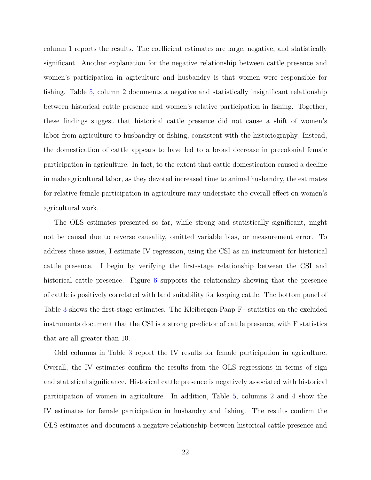column 1 reports the results. The coefficient estimates are large, negative, and statistically significant. Another explanation for the negative relationship between cattle presence and women's participation in agriculture and husbandry is that women were responsible for fishing. Table [5,](#page-58-0) column 2 documents a negative and statistically insignificant relationship between historical cattle presence and women's relative participation in fishing. Together, these findings suggest that historical cattle presence did not cause a shift of women's labor from agriculture to husbandry or fishing, consistent with the historiography. Instead, the domestication of cattle appears to have led to a broad decrease in precolonial female participation in agriculture. In fact, to the extent that cattle domestication caused a decline in male agricultural labor, as they devoted increased time to animal husbandry, the estimates for relative female participation in agriculture may understate the overall effect on women's agricultural work.

The OLS estimates presented so far, while strong and statistically significant, might not be causal due to reverse causality, omitted variable bias, or measurement error. To address these issues, I estimate IV regression, using the CSI as an instrument for historical cattle presence. I begin by verifying the first-stage relationship between the CSI and historical cattle presence. Figure [6](#page-52-0) supports the relationship showing that the presence of cattle is positively correlated with land suitability for keeping cattle. The bottom panel of Table [3](#page-56-0) shows the first-stage estimates. The Kleibergen-Paap F−statistics on the excluded instruments document that the CSI is a strong predictor of cattle presence, with F statistics that are all greater than 10.

Odd columns in Table [3](#page-56-0) report the IV results for female participation in agriculture. Overall, the IV estimates confirm the results from the OLS regressions in terms of sign and statistical significance. Historical cattle presence is negatively associated with historical participation of women in agriculture. In addition, Table [5,](#page-58-0) columns 2 and 4 show the IV estimates for female participation in husbandry and fishing. The results confirm the OLS estimates and document a negative relationship between historical cattle presence and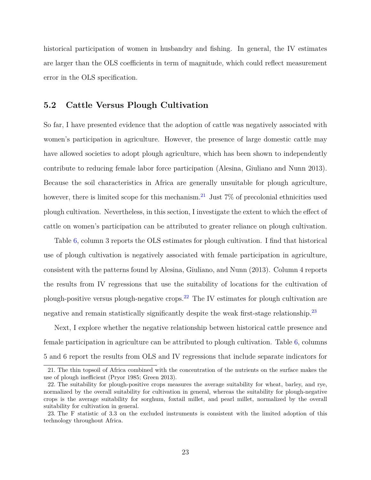historical participation of women in husbandry and fishing. In general, the IV estimates are larger than the OLS coefficients in term of magnitude, which could reflect measurement error in the OLS specification.

#### **5.2 Cattle Versus Plough Cultivation**

So far, I have presented evidence that the adoption of cattle was negatively associated with women's participation in agriculture. However, the presence of large domestic cattle may have allowed societies to adopt plough agriculture, which has been shown to independently contribute to reducing female labor force participation (Alesina, Giuliano and Nunn 2013). Because the soil characteristics in Africa are generally unsuitable for plough agriculture, however, there is limited scope for this mechanism.<sup>[21](#page-22-0)</sup> Just  $7\%$  of precolonial ethnicities used plough cultivation. Nevertheless, in this section, I investigate the extent to which the effect of cattle on women's participation can be attributed to greater reliance on plough cultivation.

Table [6,](#page-59-0) column 3 reports the OLS estimates for plough cultivation. I find that historical use of plough cultivation is negatively associated with female participation in agriculture, consistent with the patterns found by Alesina, Giuliano, and Nunn (2013). Column 4 reports the results from IV regressions that use the suitability of locations for the cultivation of plough-positive versus plough-negative crops.<sup>[22](#page-22-1)</sup> The IV estimates for plough cultivation are negative and remain statistically significantly despite the weak first-stage relationship.<sup>[23](#page-22-2)</sup>

Next, I explore whether the negative relationship between historical cattle presence and female participation in agriculture can be attributed to plough cultivation. Table [6,](#page-59-0) columns 5 and 6 report the results from OLS and IV regressions that include separate indicators for

<span id="page-22-0"></span><sup>21.</sup> The thin topsoil of Africa combined with the concentration of the nutrients on the surface makes the use of plough inefficient (Pryor 1985; Green 2013).

<span id="page-22-1"></span><sup>22.</sup> The suitability for plough-positive crops measures the average suitability for wheat, barley, and rye, normalized by the overall suitability for cultivation in general, whereas the suitability for plough-negative crops is the average suitability for sorghum, foxtail millet, and pearl millet, normalized by the overall suitability for cultivation in general.

<span id="page-22-2"></span><sup>23.</sup> The F statistic of 3.3 on the excluded instruments is consistent with the limited adoption of this technology throughout Africa.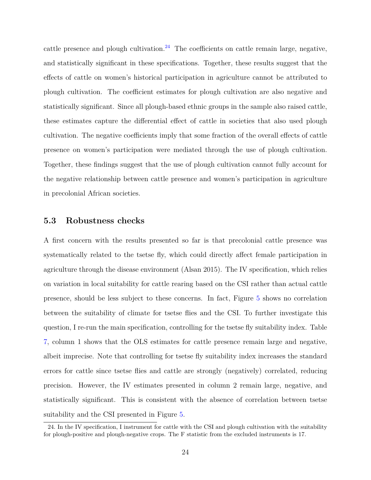cattle presence and plough cultivation.<sup>[24](#page-23-0)</sup> The coefficients on cattle remain large, negative, and statistically significant in these specifications. Together, these results suggest that the effects of cattle on women's historical participation in agriculture cannot be attributed to plough cultivation. The coefficient estimates for plough cultivation are also negative and statistically significant. Since all plough-based ethnic groups in the sample also raised cattle, these estimates capture the differential effect of cattle in societies that also used plough cultivation. The negative coefficients imply that some fraction of the overall effects of cattle presence on women's participation were mediated through the use of plough cultivation. Together, these findings suggest that the use of plough cultivation cannot fully account for the negative relationship between cattle presence and women's participation in agriculture in precolonial African societies.

#### **5.3 Robustness checks**

A first concern with the results presented so far is that precolonial cattle presence was systematically related to the tsetse fly, which could directly affect female participation in agriculture through the disease environment (Alsan 2015). The IV specification, which relies on variation in local suitability for cattle rearing based on the CSI rather than actual cattle presence, should be less subject to these concerns. In fact, Figure [5](#page-51-0) shows no correlation between the suitability of climate for tsetse flies and the CSI. To further investigate this question, I re-run the main specification, controlling for the tsetse fly suitability index. Table [7,](#page-60-0) column 1 shows that the OLS estimates for cattle presence remain large and negative, albeit imprecise. Note that controlling for tsetse fly suitability index increases the standard errors for cattle since tsetse flies and cattle are strongly (negatively) correlated, reducing precision. However, the IV estimates presented in column 2 remain large, negative, and statistically significant. This is consistent with the absence of correlation between tsetse suitability and the CSI presented in Figure [5.](#page-51-0)

<span id="page-23-0"></span><sup>24.</sup> In the IV specification, I instrument for cattle with the CSI and plough cultivation with the suitability for plough-positive and plough-negative crops. The F statistic from the excluded instruments is 17.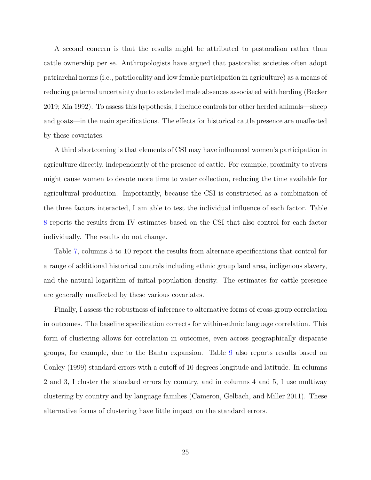A second concern is that the results might be attributed to pastoralism rather than cattle ownership per se. Anthropologists have argued that pastoralist societies often adopt patriarchal norms (i.e., patrilocality and low female participation in agriculture) as a means of reducing paternal uncertainty due to extended male absences associated with herding (Becker 2019; Xia 1992). To assess this hypothesis, I include controls for other herded animals—sheep and goats—in the main specifications. The effects for historical cattle presence are unaffected by these covariates.

A third shortcoming is that elements of CSI may have influenced women's participation in agriculture directly, independently of the presence of cattle. For example, proximity to rivers might cause women to devote more time to water collection, reducing the time available for agricultural production. Importantly, because the CSI is constructed as a combination of the three factors interacted, I am able to test the individual influence of each factor. Table [8](#page-61-0) reports the results from IV estimates based on the CSI that also control for each factor individually. The results do not change.

Table [7,](#page-60-0) columns 3 to 10 report the results from alternate specifications that control for a range of additional historical controls including ethnic group land area, indigenous slavery, and the natural logarithm of initial population density. The estimates for cattle presence are generally unaffected by these various covariates.

Finally, I assess the robustness of inference to alternative forms of cross-group correlation in outcomes. The baseline specification corrects for within-ethnic language correlation. This form of clustering allows for correlation in outcomes, even across geographically disparate groups, for example, due to the Bantu expansion. Table [9](#page-62-0) also reports results based on Conley (1999) standard errors with a cutoff of 10 degrees longitude and latitude. In columns 2 and 3, I cluster the standard errors by country, and in columns 4 and 5, I use multiway clustering by country and by language families (Cameron, Gelbach, and Miller 2011). These alternative forms of clustering have little impact on the standard errors.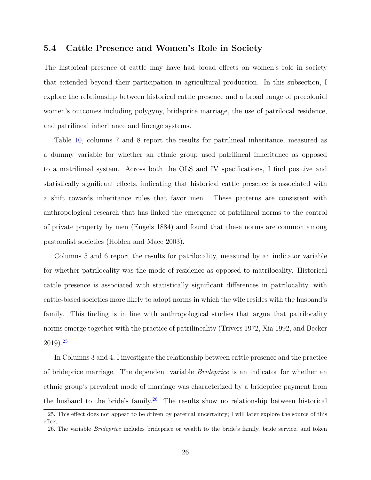#### **5.4 Cattle Presence and Women's Role in Society**

The historical presence of cattle may have had broad effects on women's role in society that extended beyond their participation in agricultural production. In this subsection, I explore the relationship between historical cattle presence and a broad range of precolonial women's outcomes including polygyny, brideprice marriage, the use of patrilocal residence, and patrilineal inheritance and lineage systems.

Table [10,](#page-63-0) columns 7 and 8 report the results for patrilineal inheritance, measured as a dummy variable for whether an ethnic group used patrilineal inheritance as opposed to a matrilineal system. Across both the OLS and IV specifications, I find positive and statistically significant effects, indicating that historical cattle presence is associated with a shift towards inheritance rules that favor men. These patterns are consistent with anthropological research that has linked the emergence of patrilineal norms to the control of private property by men (Engels 1884) and found that these norms are common among pastoralist societies (Holden and Mace 2003).

Columns 5 and 6 report the results for patrilocality, measured by an indicator variable for whether patrilocality was the mode of residence as opposed to matrilocality. Historical cattle presence is associated with statistically significant differences in patrilocality, with cattle-based societies more likely to adopt norms in which the wife resides with the husband's family. This finding is in line with anthropological studies that argue that patrilocality norms emerge together with the practice of patrilineality (Trivers 1972, Xia 1992, and Becker  $2019)$ .<sup>[25](#page-25-0)</sup>

In Columns 3 and 4, I investigate the relationship between cattle presence and the practice of brideprice marriage. The dependent variable *Brideprice* is an indicator for whether an ethnic group's prevalent mode of marriage was characterized by a brideprice payment from the husband to the bride's family.<sup>[26](#page-25-1)</sup> The results show no relationship between historical

<span id="page-25-0"></span><sup>25.</sup> This effect does not appear to be driven by paternal uncertainty; I will later explore the source of this effect.

<span id="page-25-1"></span><sup>26.</sup> The variable *Brideprice* includes brideprice or wealth to the bride's family, bride service, and token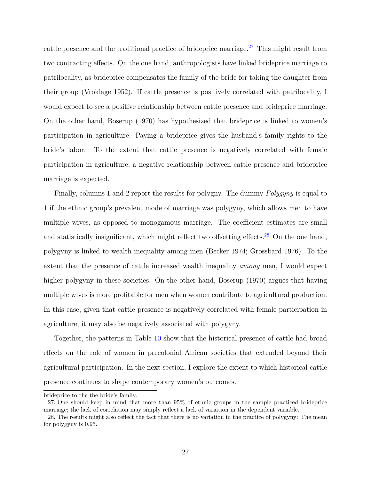cattle presence and the traditional practice of brideprice marriage.<sup>[27](#page-26-0)</sup> This might result from two contracting effects. On the one hand, anthropologists have linked brideprice marriage to patrilocality, as brideprice compensates the family of the bride for taking the daughter from their group (Vroklage 1952). If cattle presence is positively correlated with patrilocality, I would expect to see a positive relationship between cattle presence and brideprice marriage. On the other hand, Boserup (1970) has hypothesized that brideprice is linked to women's participation in agriculture: Paying a brideprice gives the husband's family rights to the bride's labor. To the extent that cattle presence is negatively correlated with female participation in agriculture, a negative relationship between cattle presence and brideprice marriage is expected.

Finally, columns 1 and 2 report the results for polygny. The dummy *Polygyny* is equal to 1 if the ethnic group's prevalent mode of marriage was polygyny, which allows men to have multiple wives, as opposed to monogamous marriage. The coefficient estimates are small and statistically insignificant, which might reflect two offsetting effects.<sup>[28](#page-26-1)</sup> On the one hand, polygyny is linked to wealth inequality among men (Becker 1974; Grossbard 1976). To the extent that the presence of cattle increased wealth inequality *among* men, I would expect higher polygyny in these societies. On the other hand, Boserup (1970) argues that having multiple wives is more profitable for men when women contribute to agricultural production. In this case, given that cattle presence is negatively correlated with female participation in agriculture, it may also be negatively associated with polygyny.

Together, the patterns in Table [10](#page-63-0) show that the historical presence of cattle had broad effects on the role of women in precolonial African societies that extended beyond their agricultural participation. In the next section, I explore the extent to which historical cattle presence continues to shape contemporary women's outcomes.

brideprice to the the bride's family.

<span id="page-26-0"></span><sup>27.</sup> One should keep in mind that more than 95% of ethnic groups in the sample practiced brideprice marriage; the lack of correlation may simply reflect a lack of variation in the dependent variable.

<span id="page-26-1"></span><sup>28.</sup> The results might also reflect the fact that there is no variation in the practice of polygyny: The mean for polygyny is 0.95.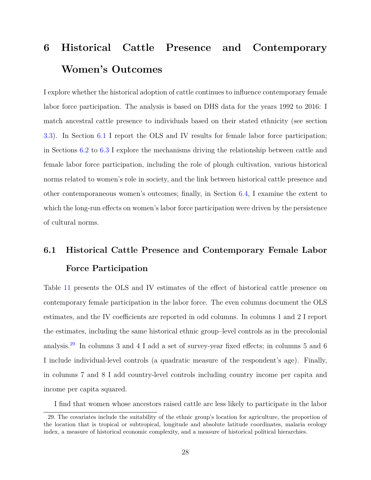## <span id="page-27-0"></span>**6 Historical Cattle Presence and Contemporary Women's Outcomes**

I explore whether the historical adoption of cattle continues to influence contemporary female labor force participation. The analysis is based on DHS data for the years 1992 to 2016: I match ancestral cattle presence to individuals based on their stated ethnicity (see section [3.3\)](#page-14-0). In Section [6.1](#page-27-1) I report the OLS and IV results for female labor force participation; in Sections [6.2](#page-29-0) to [6.3](#page-32-0) I explore the mechanisms driving the relationship between cattle and female labor force participation, including the role of plough cultivation, various historical norms related to women's role in society, and the link between historical cattle presence and other contemporaneous women's outcomes; finally, in Section [6.4,](#page-33-0) I examine the extent to which the long-run effects on women's labor force participation were driven by the persistence of cultural norms.

## <span id="page-27-1"></span>**6.1 Historical Cattle Presence and Contemporary Female Labor Force Participation**

Table [11](#page-64-0) presents the OLS and IV estimates of the effect of historical cattle presence on contemporary female participation in the labor force. The even columns document the OLS estimates, and the IV coefficients are reported in odd columns. In columns 1 and 2 I report the estimates, including the same historical ethnic group–level controls as in the precolonial analysis.[29](#page-27-2) In columns 3 and 4 I add a set of survey-year fixed effects; in columns 5 and 6 I include individual-level controls (a quadratic measure of the respondent's age). Finally, in columns 7 and 8 I add country-level controls including country income per capita and income per capita squared.

<span id="page-27-2"></span>I find that women whose ancestors raised cattle are less likely to participate in the labor

<sup>29.</sup> The covariates include the suitability of the ethnic group's location for agriculture, the proportion of the location that is tropical or subtropical, longitude and absolute latitude coordinates, malaria ecology index, a measure of historical economic complexity, and a measure of historical political hierarchies.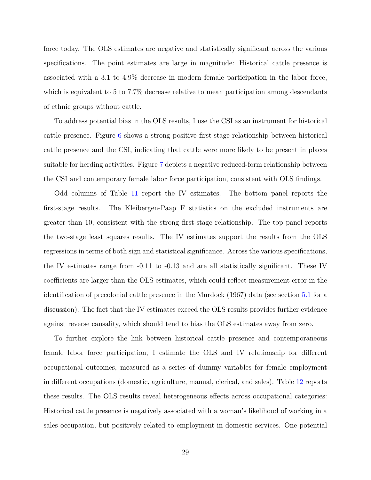force today. The OLS estimates are negative and statistically significant across the various specifications. The point estimates are large in magnitude: Historical cattle presence is associated with a 3.1 to 4.9% decrease in modern female participation in the labor force, which is equivalent to 5 to 7.7% decrease relative to mean participation among descendants of ethnic groups without cattle.

To address potential bias in the OLS results, I use the CSI as an instrument for historical cattle presence. Figure [6](#page-52-0) shows a strong positive first-stage relationship between historical cattle presence and the CSI, indicating that cattle were more likely to be present in places suitable for herding activities. Figure [7](#page-53-0) depicts a negative reduced-form relationship between the CSI and contemporary female labor force participation, consistent with OLS findings.

Odd columns of Table [11](#page-64-0) report the IV estimates. The bottom panel reports the first-stage results. The Kleibergen-Paap F statistics on the excluded instruments are greater than 10, consistent with the strong first-stage relationship. The top panel reports the two-stage least squares results. The IV estimates support the results from the OLS regressions in terms of both sign and statistical significance. Across the various specifications, the IV estimates range from -0.11 to -0.13 and are all statistically significant. These IV coefficients are larger than the OLS estimates, which could reflect measurement error in the identification of precolonial cattle presence in the Murdock (1967) data (see section [5.1](#page-20-3) for a discussion). The fact that the IV estimates exceed the OLS results provides further evidence against reverse causality, which should tend to bias the OLS estimates away from zero.

To further explore the link between historical cattle presence and contemporaneous female labor force participation, I estimate the OLS and IV relationship for different occupational outcomes, measured as a series of dummy variables for female employment in different occupations (domestic, agriculture, manual, clerical, and sales). Table [12](#page-65-0) reports these results. The OLS results reveal heterogeneous effects across occupational categories: Historical cattle presence is negatively associated with a woman's likelihood of working in a sales occupation, but positively related to employment in domestic services. One potential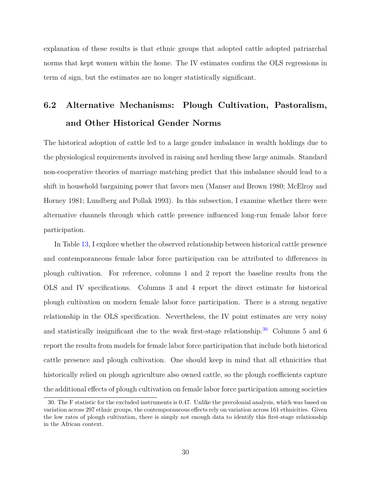explanation of these results is that ethnic groups that adopted cattle adopted patriarchal norms that kept women within the home. The IV estimates confirm the OLS regressions in term of sign, but the estimates are no longer statistically significant.

## <span id="page-29-0"></span>**6.2 Alternative Mechanisms: Plough Cultivation, Pastoralism, and Other Historical Gender Norms**

The historical adoption of cattle led to a large gender imbalance in wealth holdings due to the physiological requirements involved in raising and herding these large animals. Standard non-cooperative theories of marriage matching predict that this imbalance should lead to a shift in household bargaining power that favors men (Manser and Brown 1980; McElroy and Horney 1981; Lundberg and Pollak 1993). In this subsection, I examine whether there were alternative channels through which cattle presence influenced long-run female labor force participation.

In Table [13,](#page-66-0) I explore whether the observed relationship between historical cattle presence and contemporaneous female labor force participation can be attributed to differences in plough cultivation. For reference, columns 1 and 2 report the baseline results from the OLS and IV specifications. Columns 3 and 4 report the direct estimate for historical plough cultivation on modern female labor force participation. There is a strong negative relationship in the OLS specification. Nevertheless, the IV point estimates are very noisy and statistically insignificant due to the weak first-stage relationship.<sup>[30](#page-29-1)</sup> Columns 5 and 6 report the results from models for female labor force participation that include both historical cattle presence and plough cultivation. One should keep in mind that all ethnicities that historically relied on plough agriculture also owned cattle, so the plough coefficients capture the additional effects of plough cultivation on female labor force participation among societies

<span id="page-29-1"></span><sup>30.</sup> The F statistic for the excluded instruments is 0.47. Unlike the precolonial analysis, which was based on variation across 297 ethnic groups, the contemporaneous effects rely on variation across 161 ethnicities. Given the low rates of plough cultivation, there is simply not enough data to identify this first-stage relationship in the African context.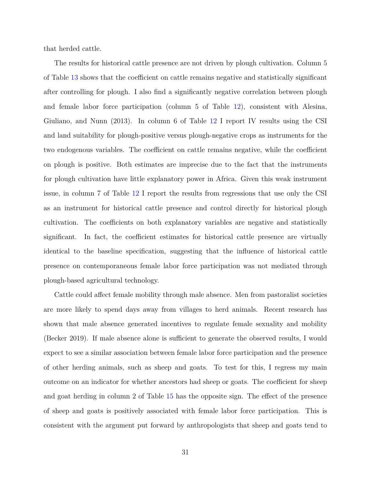that herded cattle.

The results for historical cattle presence are not driven by plough cultivation. Column 5 of Table [13](#page-66-0) shows that the coefficient on cattle remains negative and statistically significant after controlling for plough. I also find a significantly negative correlation between plough and female labor force participation (column 5 of Table [12\)](#page-65-0), consistent with Alesina, Giuliano, and Nunn (2013). In column 6 of Table [12](#page-65-0) I report IV results using the CSI and land suitability for plough-positive versus plough-negative crops as instruments for the two endogenous variables. The coefficient on cattle remains negative, while the coefficient on plough is positive. Both estimates are imprecise due to the fact that the instruments for plough cultivation have little explanatory power in Africa. Given this weak instrument issue, in column 7 of Table [12](#page-65-0) I report the results from regressions that use only the CSI as an instrument for historical cattle presence and control directly for historical plough cultivation. The coefficients on both explanatory variables are negative and statistically significant. In fact, the coefficient estimates for historical cattle presence are virtually identical to the baseline specification, suggesting that the influence of historical cattle presence on contemporaneous female labor force participation was not mediated through plough-based agricultural technology.

Cattle could affect female mobility through male absence. Men from pastoralist societies are more likely to spend days away from villages to herd animals. Recent research has shown that male absence generated incentives to regulate female sexuality and mobility (Becker 2019). If male absence alone is sufficient to generate the observed results, I would expect to see a similar association between female labor force participation and the presence of other herding animals, such as sheep and goats. To test for this, I regress my main outcome on an indicator for whether ancestors had sheep or goats. The coefficient for sheep and goat herding in column 2 of Table [15](#page-68-0) has the opposite sign. The effect of the presence of sheep and goats is positively associated with female labor force participation. This is consistent with the argument put forward by anthropologists that sheep and goats tend to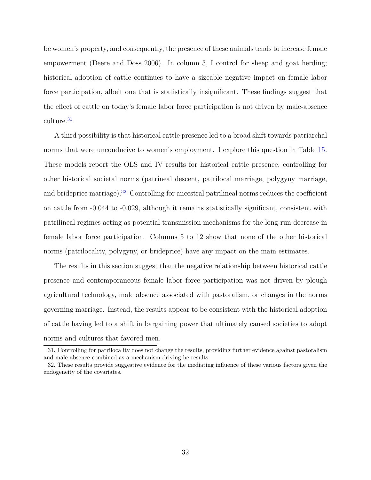be women's property, and consequently, the presence of these animals tends to increase female empowerment (Deere and Doss 2006). In column 3, I control for sheep and goat herding; historical adoption of cattle continues to have a sizeable negative impact on female labor force participation, albeit one that is statistically insignificant. These findings suggest that the effect of cattle on today's female labor force participation is not driven by male-absence culture.[31](#page-31-0)

A third possibility is that historical cattle presence led to a broad shift towards patriarchal norms that were unconducive to women's employment. I explore this question in Table [15.](#page-68-0) These models report the OLS and IV results for historical cattle presence, controlling for other historical societal norms (patrineal descent, patrilocal marriage, polygyny marriage, and brideprice marriage).<sup>[32](#page-31-1)</sup> Controlling for ancestral patrilineal norms reduces the coefficient on cattle from -0.044 to -0.029, although it remains statistically significant, consistent with patrilineal regimes acting as potential transmission mechanisms for the long-run decrease in female labor force participation. Columns 5 to 12 show that none of the other historical norms (patrilocality, polygyny, or brideprice) have any impact on the main estimates.

The results in this section suggest that the negative relationship between historical cattle presence and contemporaneous female labor force participation was not driven by plough agricultural technology, male absence associated with pastoralism, or changes in the norms governing marriage. Instead, the results appear to be consistent with the historical adoption of cattle having led to a shift in bargaining power that ultimately caused societies to adopt norms and cultures that favored men.

<span id="page-31-0"></span><sup>31.</sup> Controlling for patrilocality does not change the results, providing further evidence against pastoralism and male absence combined as a mechanism driving he results.

<span id="page-31-1"></span><sup>32.</sup> These results provide suggestive evidence for the mediating influence of these various factors given the endogeneity of the covariates.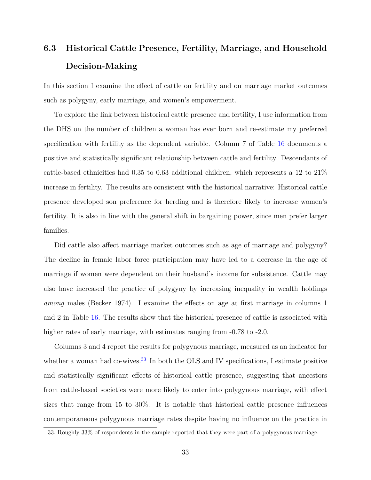## <span id="page-32-0"></span>**6.3 Historical Cattle Presence, Fertility, Marriage, and Household Decision-Making**

In this section I examine the effect of cattle on fertility and on marriage market outcomes such as polygyny, early marriage, and women's empowerment.

To explore the link between historical cattle presence and fertility, I use information from the DHS on the number of children a woman has ever born and re-estimate my preferred specification with fertility as the dependent variable. Column 7 of Table [16](#page-69-0) documents a positive and statistically significant relationship between cattle and fertility. Descendants of cattle-based ethnicities had 0.35 to 0.63 additional children, which represents a 12 to 21% increase in fertility. The results are consistent with the historical narrative: Historical cattle presence developed son preference for herding and is therefore likely to increase women's fertility. It is also in line with the general shift in bargaining power, since men prefer larger families.

Did cattle also affect marriage market outcomes such as age of marriage and polygyny? The decline in female labor force participation may have led to a decrease in the age of marriage if women were dependent on their husband's income for subsistence. Cattle may also have increased the practice of polygyny by increasing inequality in wealth holdings *among* males (Becker 1974). I examine the effects on age at first marriage in columns 1 and 2 in Table [16.](#page-69-0) The results show that the historical presence of cattle is associated with higher rates of early marriage, with estimates ranging from  $-0.78$  to  $-2.0$ .

Columns 3 and 4 report the results for polygynous marriage, measured as an indicator for whether a woman had co-wives.<sup>[33](#page-32-1)</sup> In both the OLS and IV specifications, I estimate positive and statistically significant effects of historical cattle presence, suggesting that ancestors from cattle-based societies were more likely to enter into polygynous marriage, with effect sizes that range from 15 to 30%. It is notable that historical cattle presence influences contemporaneous polygynous marriage rates despite having no influence on the practice in

<span id="page-32-1"></span><sup>33.</sup> Roughly 33% of respondents in the sample reported that they were part of a polygynous marriage.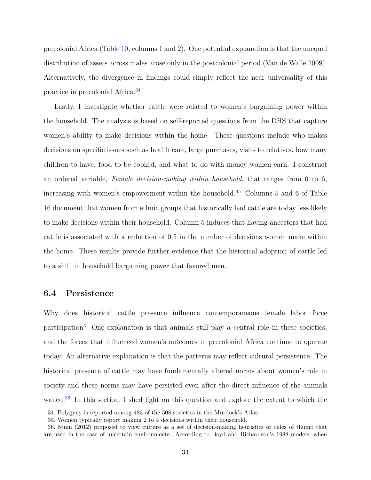precolonial Africa (Table [10,](#page-63-0) columns 1 and 2). One potential explanation is that the unequal distribution of assets across males arose only in the postcolonial period (Van de Walle 2009). Alternatively, the divergence in findings could simply reflect the near universality of this practice in precolonial Africa.[34](#page-33-1)

Lastly, I investigate whether cattle were related to women's bargaining power within the household. The analysis is based on self-reported questions from the DHS that capture women's ability to make decisions within the home. These questions include who makes decisions on specific issues such as health care, large purchases, visits to relatives, how many children to have, food to be cooked, and what to do with money women earn. I construct an ordered variable, *Female decision-making within household*, that ranges from 0 to 6, increasing with women's empowerment within the household.<sup>[35](#page-33-2)</sup> Columns 5 and 6 of Table [16](#page-69-0) document that women from ethnic groups that historically had cattle are today less likely to make decisions within their household. Column 5 induces that having ancestors that had cattle is associated with a reduction of 0.5 in the number of decisions women make within the home. These results provide further evidence that the historical adoption of cattle led to a shift in household bargaining power that favored men.

#### <span id="page-33-0"></span>**6.4 Persistence**

Why does historical cattle presence influence contemporaneous female labor force participation? One explanation is that animals still play a central role in these societies, and the forces that influenced women's outcomes in precolonial Africa continue to operate today. An alternative explanation is that the patterns may reflect cultural persistence. The historical presence of cattle may have fundamentally altered norms about women's role in society and these norms may have persisted even after the direct influence of the animals waned.<sup>[36](#page-33-3)</sup> In this section, I shed light on this question and explore the extent to which the

<span id="page-33-1"></span><sup>34.</sup> Polygyny is reported among 483 of the 508 societies in the Murdock's Atlas.

<span id="page-33-3"></span><span id="page-33-2"></span><sup>35.</sup> Women typically report making 2 to 4 decisions within their household.

<sup>36.</sup> Nunn (2012) proposed to view culture as a set of decision-making heuristics or rules of thumb that are used in the case of uncertain environments. According to Boyd and Richardson's 1988 models, when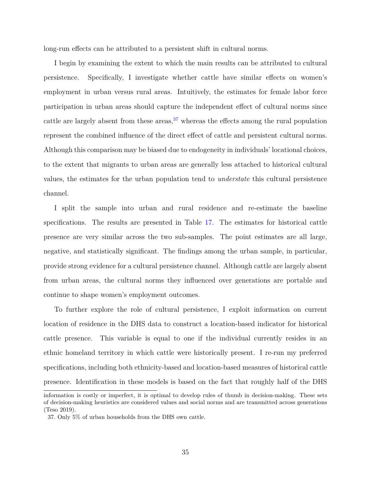long-run effects can be attributed to a persistent shift in cultural norms.

I begin by examining the extent to which the main results can be attributed to cultural persistence. Specifically, I investigate whether cattle have similar effects on women's employment in urban versus rural areas. Intuitively, the estimates for female labor force participation in urban areas should capture the independent effect of cultural norms since cattle are largely absent from these areas,  $37$  whereas the effects among the rural population represent the combined influence of the direct effect of cattle and persistent cultural norms. Although this comparison may be biased due to endogeneity in individuals' locational choices, to the extent that migrants to urban areas are generally less attached to historical cultural values, the estimates for the urban population tend to *understate* this cultural persistence channel.

I split the sample into urban and rural residence and re-estimate the baseline specifications. The results are presented in Table [17.](#page-70-0) The estimates for historical cattle presence are very similar across the two sub-samples. The point estimates are all large, negative, and statistically significant. The findings among the urban sample, in particular, provide strong evidence for a cultural persistence channel. Although cattle are largely absent from urban areas, the cultural norms they influenced over generations are portable and continue to shape women's employment outcomes.

To further explore the role of cultural persistence, I exploit information on current location of residence in the DHS data to construct a location-based indicator for historical cattle presence. This variable is equal to one if the individual currently resides in an ethnic homeland territory in which cattle were historically present. I re-run my preferred specifications, including both ethnicity-based and location-based measures of historical cattle presence. Identification in these models is based on the fact that roughly half of the DHS

information is costly or imperfect, it is optimal to develop rules of thumb in decision-making. These sets of decision-making heuristics are considered values and social norms and are transmitted across generations (Teso 2019).

<span id="page-34-0"></span><sup>37.</sup> Only 5% of urban households from the DHS own cattle.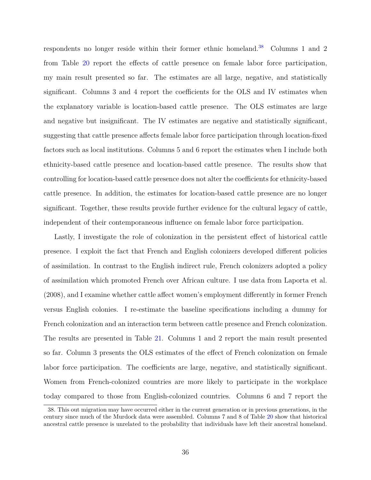respondents no longer reside within their former ethnic homeland.<sup>[38](#page-35-0)</sup> Columns 1 and 2 from Table [20](#page-73-0) report the effects of cattle presence on female labor force participation, my main result presented so far. The estimates are all large, negative, and statistically significant. Columns 3 and 4 report the coefficients for the OLS and IV estimates when the explanatory variable is location-based cattle presence. The OLS estimates are large and negative but insignificant. The IV estimates are negative and statistically significant, suggesting that cattle presence affects female labor force participation through location-fixed factors such as local institutions. Columns 5 and 6 report the estimates when I include both ethnicity-based cattle presence and location-based cattle presence. The results show that controlling for location-based cattle presence does not alter the coefficients for ethnicity-based cattle presence. In addition, the estimates for location-based cattle presence are no longer significant. Together, these results provide further evidence for the cultural legacy of cattle, independent of their contemporaneous influence on female labor force participation.

Lastly, I investigate the role of colonization in the persistent effect of historical cattle presence. I exploit the fact that French and English colonizers developed different policies of assimilation. In contrast to the English indirect rule, French colonizers adopted a policy of assimilation which promoted French over African culture. I use data from Laporta et al. (2008), and I examine whether cattle affect women's employment differently in former French versus English colonies. I re-estimate the baseline specifications including a dummy for French colonization and an interaction term between cattle presence and French colonization. The results are presented in Table [21.](#page-74-0) Columns 1 and 2 report the main result presented so far. Column 3 presents the OLS estimates of the effect of French colonization on female labor force participation. The coefficients are large, negative, and statistically significant. Women from French-colonized countries are more likely to participate in the workplace today compared to those from English-colonized countries. Columns 6 and 7 report the

<span id="page-35-0"></span><sup>38.</sup> This out migration may have occurred either in the current generation or in previous generations, in the century since much of the Murdock data were assembled. Columns 7 and 8 of Table [20](#page-73-0) show that historical ancestral cattle presence is unrelated to the probability that individuals have left their ancestral homeland.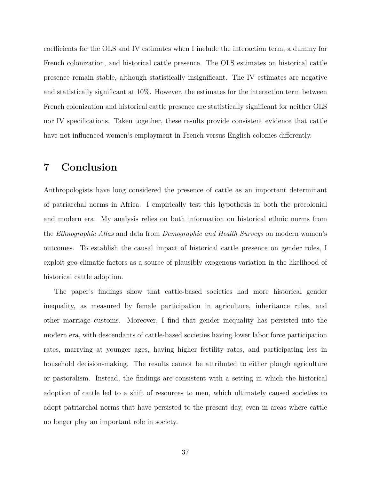coefficients for the OLS and IV estimates when I include the interaction term, a dummy for French colonization, and historical cattle presence. The OLS estimates on historical cattle presence remain stable, although statistically insignificant. The IV estimates are negative and statistically significant at 10%. However, the estimates for the interaction term between French colonization and historical cattle presence are statistically significant for neither OLS nor IV specifications. Taken together, these results provide consistent evidence that cattle have not influenced women's employment in French versus English colonies differently.

### **7 Conclusion**

Anthropologists have long considered the presence of cattle as an important determinant of patriarchal norms in Africa. I empirically test this hypothesis in both the precolonial and modern era. My analysis relies on both information on historical ethnic norms from the *Ethnographic Atlas* and data from *Demographic and Health Surveys* on modern women's outcomes. To establish the causal impact of historical cattle presence on gender roles, I exploit geo-climatic factors as a source of plausibly exogenous variation in the likelihood of historical cattle adoption.

The paper's findings show that cattle-based societies had more historical gender inequality, as measured by female participation in agriculture, inheritance rules, and other marriage customs. Moreover, I find that gender inequality has persisted into the modern era, with descendants of cattle-based societies having lower labor force participation rates, marrying at younger ages, having higher fertility rates, and participating less in household decision-making. The results cannot be attributed to either plough agriculture or pastoralism. Instead, the findings are consistent with a setting in which the historical adoption of cattle led to a shift of resources to men, which ultimately caused societies to adopt patriarchal norms that have persisted to the present day, even in areas where cattle no longer play an important role in society.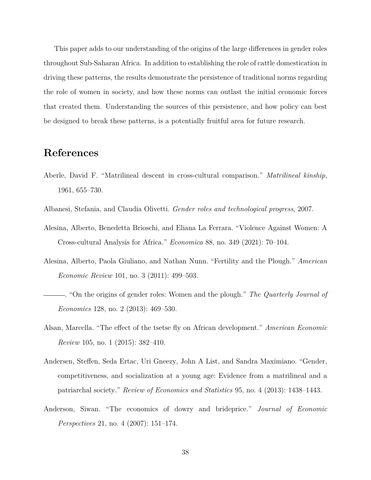This paper adds to our understanding of the origins of the large differences in gender roles throughout Sub-Saharan Africa. In addition to establishing the role of cattle domestication in driving these patterns, the results demonstrate the persistence of traditional norms regarding the role of women in society, and how these norms can outlast the initial economic forces that created them. Understanding the sources of this persistence, and how policy can best be designed to break these patterns, is a potentially fruitful area for future research.

#### **References**

- Aberle, David F. "Matrilineal descent in cross-cultural comparison." *Matrilineal kinship*, 1961, 655–730.
- Albanesi, Stefania, and Claudia Olivetti. *Gender roles and technological progress*, 2007.
- Alesina, Alberto, Benedetta Brioschi, and Eliana La Ferrara. "Violence Against Women: A Cross-cultural Analysis for Africa." *Economica* 88, no. 349 (2021): 70–104.
- Alesina, Alberto, Paola Giuliano, and Nathan Nunn. "Fertility and the Plough." *American Economic Review* 101, no. 3 (2011): 499–503.
- . "On the origins of gender roles: Women and the plough." *The Quarterly Journal of Economics* 128, no. 2 (2013): 469–530.
- Alsan, Marcella. "The effect of the tsetse fly on African development." *American Economic Review* 105, no. 1 (2015): 382–410.
- Andersen, Steffen, Seda Ertac, Uri Gneezy, John A List, and Sandra Maximiano. "Gender, competitiveness, and socialization at a young age: Evidence from a matrilineal and a patriarchal society." *Review of Economics and Statistics* 95, no. 4 (2013): 1438–1443.
- Anderson, Siwan. "The economics of dowry and brideprice." *Journal of Economic Perspectives* 21, no. 4 (2007): 151–174.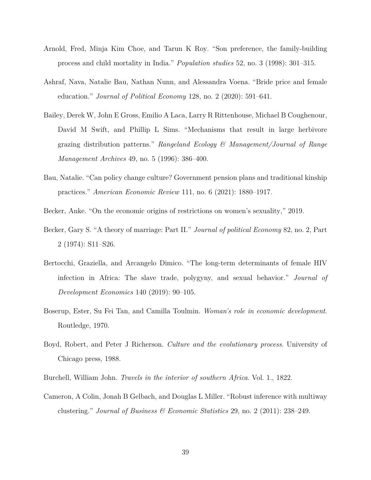- Arnold, Fred, Minja Kim Choe, and Tarun K Roy. "Son preference, the family-building process and child mortality in India." *Population studies* 52, no. 3 (1998): 301–315.
- Ashraf, Nava, Natalie Bau, Nathan Nunn, and Alessandra Voena. "Bride price and female education." *Journal of Political Economy* 128, no. 2 (2020): 591–641.
- Bailey, Derek W, John E Gross, Emilio A Laca, Larry R Rittenhouse, Michael B Coughenour, David M Swift, and Phillip L Sims. "Mechanisms that result in large herbivore grazing distribution patterns." *Rangeland Ecology & Management/Journal of Range Management Archives* 49, no. 5 (1996): 386–400.
- Bau, Natalie. "Can policy change culture? Government pension plans and traditional kinship practices." *American Economic Review* 111, no. 6 (2021): 1880–1917.
- Becker, Anke. "On the economic origins of restrictions on women's sexuality," 2019.
- Becker, Gary S. "A theory of marriage: Part II." *Journal of political Economy* 82, no. 2, Part 2 (1974): S11–S26.
- Bertocchi, Graziella, and Arcangelo Dimico. "The long-term determinants of female HIV infection in Africa: The slave trade, polygyny, and sexual behavior." *Journal of Development Economics* 140 (2019): 90–105.
- Boserup, Ester, Su Fei Tan, and Camilla Toulmin. *Woman's role in economic development*. Routledge, 1970.
- Boyd, Robert, and Peter J Richerson. *Culture and the evolutionary process*. University of Chicago press, 1988.
- Burchell, William John. *Travels in the interior of southern Africa*. Vol. 1., 1822.
- Cameron, A Colin, Jonah B Gelbach, and Douglas L Miller. "Robust inference with multiway clustering." *Journal of Business & Economic Statistics* 29, no. 2 (2011): 238–249.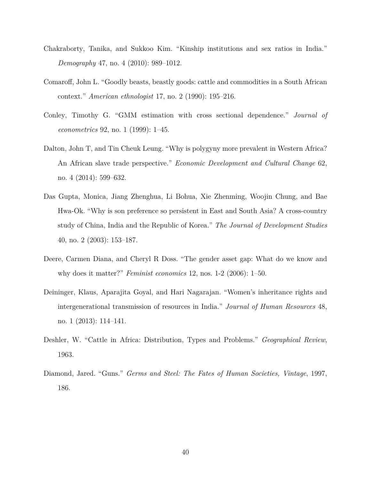- Chakraborty, Tanika, and Sukkoo Kim. "Kinship institutions and sex ratios in India." *Demography* 47, no. 4 (2010): 989–1012.
- Comaroff, John L. "Goodly beasts, beastly goods: cattle and commodities in a South African context." *American ethnologist* 17, no. 2 (1990): 195–216.
- Conley, Timothy G. "GMM estimation with cross sectional dependence." *Journal of econometrics* 92, no. 1 (1999): 1–45.
- Dalton, John T, and Tin Cheuk Leung. "Why is polygyny more prevalent in Western Africa? An African slave trade perspective." *Economic Development and Cultural Change* 62, no. 4 (2014): 599–632.
- Das Gupta, Monica, Jiang Zhenghua, Li Bohua, Xie Zhenming, Woojin Chung, and Bae Hwa-Ok. "Why is son preference so persistent in East and South Asia? A cross-country study of China, India and the Republic of Korea." *The Journal of Development Studies* 40, no. 2 (2003): 153–187.
- Deere, Carmen Diana, and Cheryl R Doss. "The gender asset gap: What do we know and why does it matter?" *Feminist economics* 12, nos. 1-2 (2006): 1–50.
- Deininger, Klaus, Aparajita Goyal, and Hari Nagarajan. "Women's inheritance rights and intergenerational transmission of resources in India." *Journal of Human Resources* 48, no. 1 (2013): 114–141.
- Deshler, W. "Cattle in Africa: Distribution, Types and Problems." *Geographical Review*, 1963.
- Diamond, Jared. "Guns." *Germs and Steel: The Fates of Human Societies, Vintage*, 1997, 186.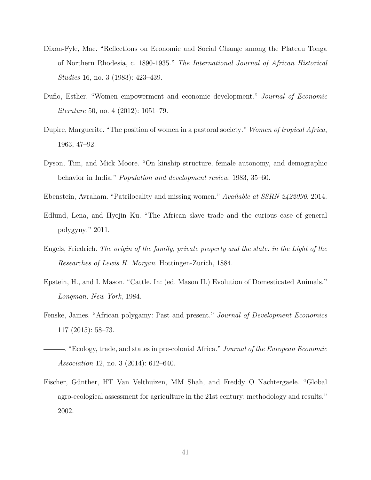- Dixon-Fyle, Mac. "Reflections on Economic and Social Change among the Plateau Tonga of Northern Rhodesia, c. 1890-1935." *The International Journal of African Historical Studies* 16, no. 3 (1983): 423–439.
- Duflo, Esther. "Women empowerment and economic development." *Journal of Economic literature* 50, no. 4 (2012): 1051–79.
- Dupire, Marguerite. "The position of women in a pastoral society." *Women of tropical Africa*, 1963, 47–92.
- Dyson, Tim, and Mick Moore. "On kinship structure, female autonomy, and demographic behavior in India." *Population and development review*, 1983, 35–60.
- Ebenstein, Avraham. "Patrilocality and missing women." *Available at SSRN 2422090*, 2014.
- Edlund, Lena, and Hyejin Ku. "The African slave trade and the curious case of general polygyny," 2011.
- Engels, Friedrich. *The origin of the family, private property and the state: in the Light of the Researches of Lewis H. Morgan*. Hottingen-Zurich, 1884.
- Epstein, H., and I. Mason. "Cattle. In: (ed. Mason IL) Evolution of Domesticated Animals." *Longman, New York*, 1984.
- Fenske, James. "African polygamy: Past and present." *Journal of Development Economics* 117 (2015): 58–73.
- . "Ecology, trade, and states in pre-colonial Africa." *Journal of the European Economic Association* 12, no. 3 (2014): 612–640.
- Fischer, Günther, HT Van Velthuizen, MM Shah, and Freddy O Nachtergaele. "Global agro-ecological assessment for agriculture in the 21st century: methodology and results," 2002.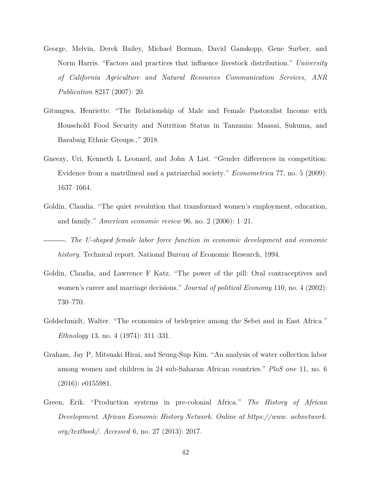- George, Melvin, Derek Bailey, Michael Borman, David Ganskopp, Gene Surber, and Norm Harris. "Factors and practices that influence livestock distribution." *University of California Agriculture and Natural Resources Communication Services, ANR Publication* 8217 (2007): 20.
- Gitungwa, Henriette. "The Relationship of Male and Female Pastoralist Income with Household Food Security and Nutrition Status in Tanzania: Maasai, Sukuma, and Barabaig Ethnic Groups.," 2018.
- Gneezy, Uri, Kenneth L Leonard, and John A List. "Gender differences in competition: Evidence from a matrilineal and a patriarchal society." *Econometrica* 77, no. 5 (2009): 1637–1664.
- Goldin, Claudia. "The quiet revolution that transformed women's employment, education, and family." *American economic review* 96, no. 2 (2006): 1–21.
- . *The U-shaped female labor force function in economic development and economic history*. Technical report. National Bureau of Economic Research, 1994.
- Goldin, Claudia, and Lawrence F Katz. "The power of the pill: Oral contraceptives and women's career and marriage decisions." *Journal of political Economy* 110, no. 4 (2002): 730–770.
- Goldschmidt, Walter. "The economics of brideprice among the Sebei and in East Africa." *Ethnology* 13, no. 4 (1974): 311–331.
- Graham, Jay P, Mitsuaki Hirai, and Seung-Sup Kim. "An analysis of water collection labor among women and children in 24 sub-Saharan African countries." *PloS one* 11, no. 6 (2016): e0155981.
- Green, Erik. "Production systems in pre-colonial Africa." *The History of African Development. African Economic History Network. Online at https://www. aehnetwork. org/textbook/. Accessed* 6, no. 27 (2013): 2017.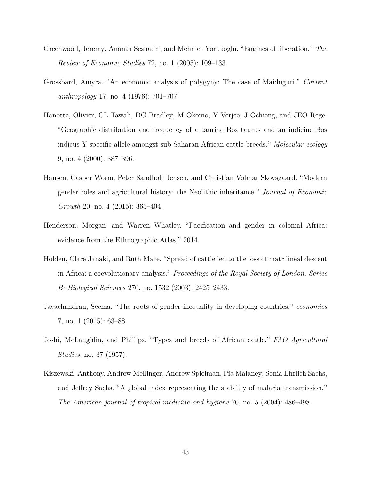- Greenwood, Jeremy, Ananth Seshadri, and Mehmet Yorukoglu. "Engines of liberation." *The Review of Economic Studies* 72, no. 1 (2005): 109–133.
- Grossbard, Amyra. "An economic analysis of polygyny: The case of Maiduguri." *Current anthropology* 17, no. 4 (1976): 701–707.
- Hanotte, Olivier, CL Tawah, DG Bradley, M Okomo, Y Verjee, J Ochieng, and JEO Rege. "Geographic distribution and frequency of a taurine Bos taurus and an indicine Bos indicus Y specific allele amongst sub-Saharan African cattle breeds." *Molecular ecology* 9, no. 4 (2000): 387–396.
- Hansen, Casper Worm, Peter Sandholt Jensen, and Christian Volmar Skovsgaard. "Modern gender roles and agricultural history: the Neolithic inheritance." *Journal of Economic Growth* 20, no. 4 (2015): 365–404.
- Henderson, Morgan, and Warren Whatley. "Pacification and gender in colonial Africa: evidence from the Ethnographic Atlas," 2014.
- Holden, Clare Janaki, and Ruth Mace. "Spread of cattle led to the loss of matrilineal descent in Africa: a coevolutionary analysis." *Proceedings of the Royal Society of London. Series B: Biological Sciences* 270, no. 1532 (2003): 2425–2433.
- Jayachandran, Seema. "The roots of gender inequality in developing countries." *economics* 7, no. 1 (2015): 63–88.
- Joshi, McLaughlin, and Phillips. "Types and breeds of African cattle." *FAO Agricultural Studies*, no. 37 (1957).
- Kiszewski, Anthony, Andrew Mellinger, Andrew Spielman, Pia Malaney, Sonia Ehrlich Sachs, and Jeffrey Sachs. "A global index representing the stability of malaria transmission." *The American journal of tropical medicine and hygiene* 70, no. 5 (2004): 486–498.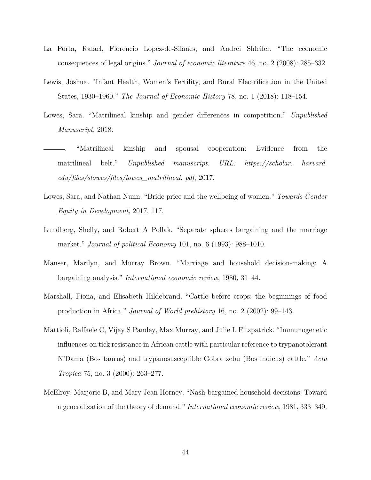- La Porta, Rafael, Florencio Lopez-de-Silanes, and Andrei Shleifer. "The economic consequences of legal origins." *Journal of economic literature* 46, no. 2 (2008): 285–332.
- Lewis, Joshua. "Infant Health, Women's Fertility, and Rural Electrification in the United States, 1930–1960." *The Journal of Economic History* 78, no. 1 (2018): 118–154.
- Lowes, Sara. "Matrilineal kinship and gender differences in competition." *Unpublished Manuscript*, 2018.
- . "Matrilineal kinship and spousal cooperation: Evidence from the matrilineal belt." *Unpublished manuscript. URL: https://scholar. harvard. edu/files/slowes/files/lowes\_matrilineal. pdf*, 2017.
- Lowes, Sara, and Nathan Nunn. "Bride price and the wellbeing of women." *Towards Gender Equity in Development*, 2017, 117.
- Lundberg, Shelly, and Robert A Pollak. "Separate spheres bargaining and the marriage market." *Journal of political Economy* 101, no. 6 (1993): 988–1010.
- Manser, Marilyn, and Murray Brown. "Marriage and household decision-making: A bargaining analysis." *International economic review*, 1980, 31–44.
- Marshall, Fiona, and Elisabeth Hildebrand. "Cattle before crops: the beginnings of food production in Africa." *Journal of World prehistory* 16, no. 2 (2002): 99–143.
- Mattioli, Raffaele C, Vijay S Pandey, Max Murray, and Julie L Fitzpatrick. "Immunogenetic influences on tick resistance in African cattle with particular reference to trypanotolerant N'Dama (Bos taurus) and trypanosusceptible Gobra zebu (Bos indicus) cattle." *Acta Tropica* 75, no. 3 (2000): 263–277.
- McElroy, Marjorie B, and Mary Jean Horney. "Nash-bargained household decisions: Toward a generalization of the theory of demand." *International economic review*, 1981, 333–349.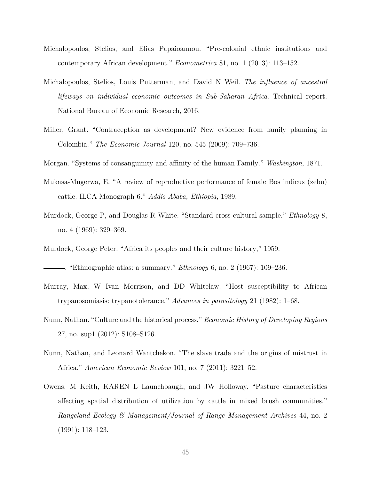- Michalopoulos, Stelios, and Elias Papaioannou. "Pre-colonial ethnic institutions and contemporary African development." *Econometrica* 81, no. 1 (2013): 113–152.
- Michalopoulos, Stelios, Louis Putterman, and David N Weil. *The influence of ancestral lifeways on individual economic outcomes in Sub-Saharan Africa*. Technical report. National Bureau of Economic Research, 2016.
- Miller, Grant. "Contraception as development? New evidence from family planning in Colombia." *The Economic Journal* 120, no. 545 (2009): 709–736.
- Morgan. "Systems of consanguinity and affinity of the human Family." *Washington*, 1871.
- Mukasa-Mugerwa, E. "A review of reproductive performance of female Bos indicus (zebu) cattle. ILCA Monograph 6." *Addis Ababa, Ethiopia*, 1989.
- Murdock, George P, and Douglas R White. "Standard cross-cultural sample." *Ethnology* 8, no. 4 (1969): 329–369.
- Murdock, George Peter. "Africa its peoples and their culture history," 1959.

. "Ethnographic atlas: a summary." *Ethnology* 6, no. 2 (1967): 109–236.

- Murray, Max, W Ivan Morrison, and DD Whitelaw. "Host susceptibility to African trypanosomiasis: trypanotolerance." *Advances in parasitology* 21 (1982): 1–68.
- Nunn, Nathan. "Culture and the historical process." *Economic History of Developing Regions* 27, no. sup1 (2012): S108–S126.
- Nunn, Nathan, and Leonard Wantchekon. "The slave trade and the origins of mistrust in Africa." *American Economic Review* 101, no. 7 (2011): 3221–52.
- Owens, M Keith, KAREN L Launchbaugh, and JW Holloway. "Pasture characteristics affecting spatial distribution of utilization by cattle in mixed brush communities." *Rangeland Ecology & Management/Journal of Range Management Archives* 44, no. 2 (1991): 118–123.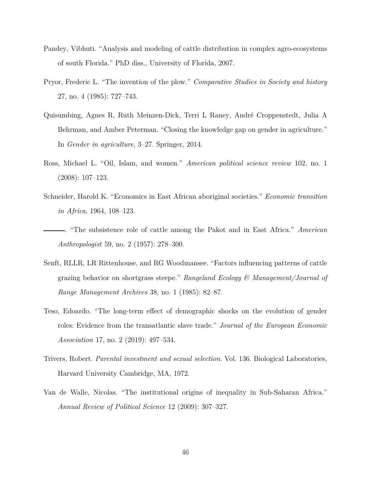- Pandey, Vibhuti. "Analysis and modeling of cattle distribution in complex agro-ecosystems of south Florida." PhD diss., University of Florida, 2007.
- Pryor, Frederic L. "The invention of the plow." *Comparative Studies in Society and history* 27, no. 4 (1985): 727–743.
- Quisumbing, Agnes R, Ruth Meinzen-Dick, Terri L Raney, André Croppenstedt, Julia A Behrman, and Amber Peterman. "Closing the knowledge gap on gender in agriculture." In *Gender in agriculture*, 3–27. Springer, 2014.
- Ross, Michael L. "Oil, Islam, and women." *American political science review* 102, no. 1 (2008): 107–123.
- Schneider, Harold K. "Economics in East African aboriginal societies." *Economic transition in Africa*, 1964, 108–123.
- . "The subsistence role of cattle among the Pakot and in East Africa." *American Anthropologist* 59, no. 2 (1957): 278–300.
- Senft, RLLR, LR Rittenhouse, and RG Woodmansee. "Factors influencing patterns of cattle grazing behavior on shortgrass steepe." *Rangeland Ecology & Management/Journal of Range Management Archives* 38, no. 1 (1985): 82–87.
- Teso, Edoardo. "The long-term effect of demographic shocks on the evolution of gender roles: Evidence from the transatlantic slave trade." *Journal of the European Economic Association* 17, no. 2 (2019): 497–534.
- Trivers, Robert. *Parental investment and sexual selection*. Vol. 136. Biological Laboratories, Harvard University Cambridge, MA, 1972.
- Van de Walle, Nicolas. "The institutional origins of inequality in Sub-Saharan Africa." *Annual Review of Political Science* 12 (2009): 307–327.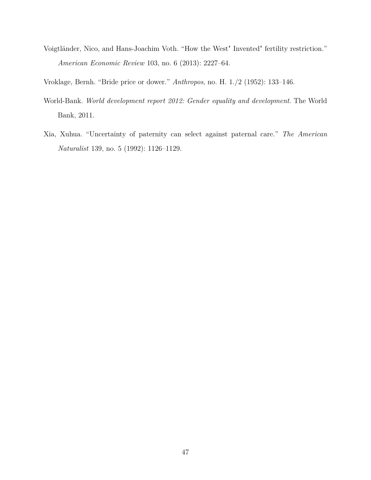Voigtländer, Nico, and Hans-Joachim Voth. "How the West" Invented" fertility restriction." *American Economic Review* 103, no. 6 (2013): 2227–64.

Vroklage, Bernh. "Bride price or dower." *Anthropos*, no. H. 1./2 (1952): 133–146.

- World-Bank. *World development report 2012: Gender equality and development*. The World Bank, 2011.
- Xia, Xuhua. "Uncertainty of paternity can select against paternal care." *The American Naturalist* 139, no. 5 (1992): 1126–1129.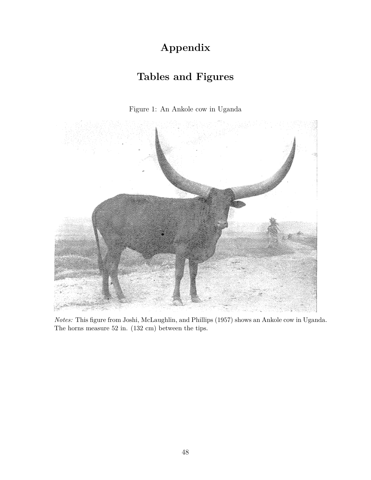# **Appendix**

## **Tables and Figures**





*Notes:* This figure from Joshi, McLaughlin, and Phillips (1957) shows an Ankole cow in Uganda. The horns measure 52 in. (132 cm) between the tips.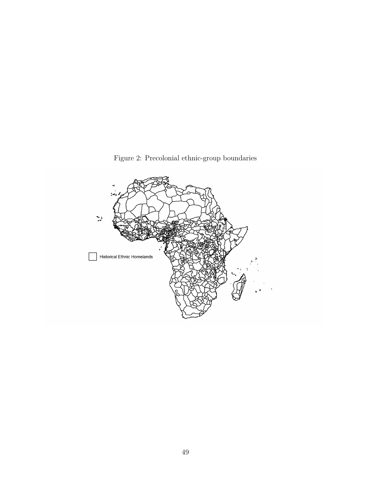

Figure 2: Precolonial ethnic-group boundaries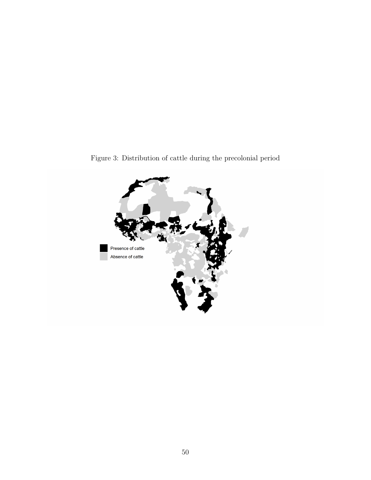

Figure 3: Distribution of cattle during the precolonial period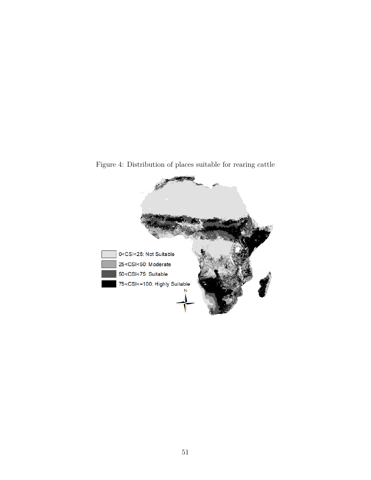

Figure 4: Distribution of places suitable for rearing cattle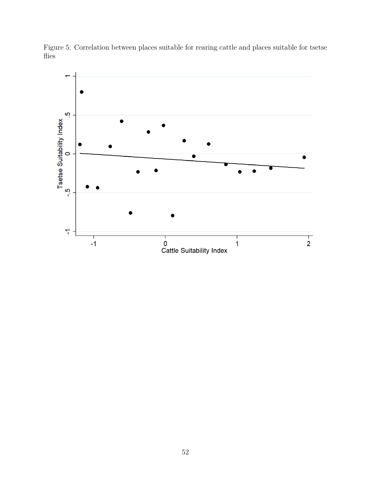

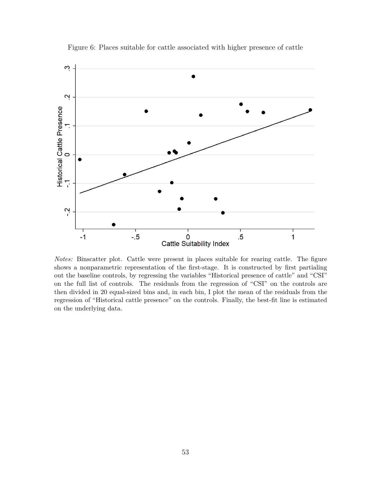

Figure 6: Places suitable for cattle associated with higher presence of cattle

*Notes:* Binscatter plot. Cattle were present in places suitable for rearing cattle. The figure shows a nonparametric representation of the first-stage. It is constructed by first partialing out the baseline controls, by regressing the variables "Historical presence of cattle" and "CSI" on the full list of controls. The residuals from the regression of "CSI" on the controls are then divided in 20 equal-sized bins and, in each bin, I plot the mean of the residuals from the regression of "Historical cattle presence" on the controls. Finally, the best-fit line is estimated on the underlying data.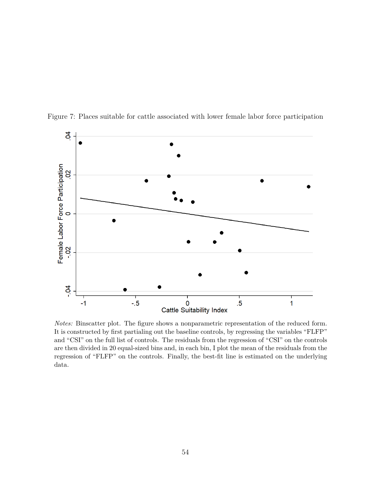

Figure 7: Places suitable for cattle associated with lower female labor force participation

*Notes:* Binscatter plot. The figure shows a nonparametric representation of the reduced form. It is constructed by first partialing out the baseline controls, by regressing the variables "FLFP" and "CSI" on the full list of controls. The residuals from the regression of "CSI" on the controls are then divided in 20 equal-sized bins and, in each bin, I plot the mean of the residuals from the regression of "FLFP" on the controls. Finally, the best-fit line is estimated on the underlying data.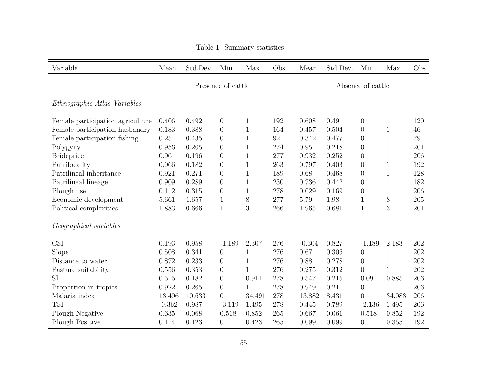| Variable                            | Mean     | Std.Dev. | Min                | Max          | Obs | Mean      | Std.Dev. | Min               | Max          | Obs |
|-------------------------------------|----------|----------|--------------------|--------------|-----|-----------|----------|-------------------|--------------|-----|
|                                     |          |          | Presence of cattle |              |     |           |          | Absence of cattle |              |     |
|                                     |          |          |                    |              |     |           |          |                   |              |     |
| <i>Ethnographic Atlas Variables</i> |          |          |                    |              |     |           |          |                   |              |     |
| Female participation agriculture    | 0.406    | 0.492    | $\boldsymbol{0}$   | $\mathbf{1}$ | 192 | 0.608     | 0.49     | $\boldsymbol{0}$  | $\mathbf{1}$ | 120 |
| Female participation husbandry      | 0.183    | 0.388    | $\theta$           | $\mathbf{1}$ | 164 | 0.457     | 0.504    | $\theta$          | $\mathbf{1}$ | 46  |
| Female participation fishing        | 0.25     | 0.435    | $\boldsymbol{0}$   | $\mathbf{1}$ | 92  | 0.342     | 0.477    | $\overline{0}$    | $\mathbf{1}$ | 79  |
| Polygyny                            | 0.956    | 0.205    | $\overline{0}$     | $\mathbf{1}$ | 274 | 0.95      | 0.218    | $\overline{0}$    | $\mathbf{1}$ | 201 |
| <b>Brideprice</b>                   | 0.96     | 0.196    | $\overline{0}$     | $\mathbf{1}$ | 277 | 0.932     | 0.252    | $\theta$          | $\mathbf{1}$ | 206 |
| Patrilocality                       | 0.966    | 0.182    | $\overline{0}$     | $\mathbf{1}$ | 263 | 0.797     | 0.403    | $\overline{0}$    | $\mathbf{1}$ | 192 |
| Patrilineal inheritance             | 0.921    | 0.271    | $\boldsymbol{0}$   | $\mathbf{1}$ | 189 | 0.68      | 0.468    | $\theta$          | $\mathbf{1}$ | 128 |
| Patrilineal lineage                 | 0.909    | 0.289    | $\overline{0}$     | $\mathbf{1}$ | 230 | 0.736     | 0.442    | $\overline{0}$    | $\mathbf{1}$ | 182 |
| Plough use                          | 0.112    | 0.315    | $\overline{0}$     | $\mathbf{1}$ | 278 | 0.029     | 0.169    | $\overline{0}$    | $\mathbf{1}$ | 206 |
| Economic development                | 5.661    | 1.657    | $\mathbf 1$        | $8\,$        | 277 | 5.79      | 1.98     | $\mathbf{1}$      | 8            | 205 |
| Political complexities              | 1.883    | 0.666    | 1                  | 3            | 266 | $1.965\,$ | 0.681    | $\mathbf{1}$      | 3            | 201 |
| Geographical variables              |          |          |                    |              |     |           |          |                   |              |     |
| <b>CSI</b>                          | 0.193    | 0.958    | $-1.189$           | 2.307        | 276 | $-0.304$  | 0.827    | $-1.189$          | 2.183        | 202 |
| Slope                               | 0.508    | 0.341    | $\theta$           | $\mathbf{1}$ | 276 | 0.67      | 0.305    | $\overline{0}$    | $\mathbf{1}$ | 202 |
| Distance to water                   | 0.872    | 0.233    | $\boldsymbol{0}$   | $\mathbf{1}$ | 276 | 0.88      | 0.278    | $\overline{0}$    | $\mathbf{1}$ | 202 |
| Pasture suitability                 | 0.556    | 0.353    | $\overline{0}$     | $\mathbf{1}$ | 276 | 0.275     | 0.312    | $\overline{0}$    | $\mathbf{1}$ | 202 |
| <b>SI</b>                           | 0.515    | 0.182    | $\theta$           | 0.911        | 278 | 0.547     | 0.215    | 0.091             | 0.885        | 206 |
| Proportion in tropics               | 0.922    | 0.265    | $\overline{0}$     | $\mathbf{1}$ | 278 | 0.949     | 0.21     | $\overline{0}$    | $\mathbf{1}$ | 206 |
| Malaria index                       | 13.496   | 10.633   | $\overline{0}$     | 34.491       | 278 | 13.882    | 8.431    | $\boldsymbol{0}$  | 34.083       | 206 |
| <b>TSI</b>                          | $-0.362$ | 0.987    | $-3.119$           | 1.495        | 278 | 0.445     | 0.789    | $-2.136$          | 1.495        | 206 |
| Plough Negative                     | 0.635    | 0.068    | 0.518              | 0.852        | 265 | 0.667     | 0.061    | 0.518             | 0.852        | 192 |
| Plough Positive                     | 0.114    | 0.123    | $\theta$           | 0.423        | 265 | 0.099     | 0.099    | $\overline{0}$    | 0.365        | 192 |

Table 1: Summary statistics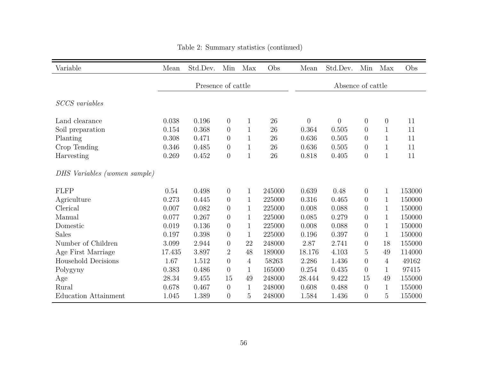| Variable                     | Mean   | Std.Dev.           | Min              | Max            | Obs    | Mean           | Std.Dev.          | Min            | Max          | Obs    |
|------------------------------|--------|--------------------|------------------|----------------|--------|----------------|-------------------|----------------|--------------|--------|
|                              |        | Presence of cattle |                  |                |        |                | Absence of cattle |                |              |        |
| <b>SCCS</b> variables        |        |                    |                  |                |        |                |                   |                |              |        |
| Land clearance               | 0.038  | 0.196              | $\overline{0}$   | 1              | 26     | $\overline{0}$ | $\overline{0}$    | $\theta$       | $\theta$     | 11     |
| Soil preparation             | 0.154  | 0.368              | $\overline{0}$   | 1              | 26     | 0.364          | 0.505             | $\overline{0}$ |              | 11     |
| Planting                     | 0.308  | 0.471              | $\overline{0}$   | $\mathbf{1}$   | 26     | 0.636          | 0.505             | $\overline{0}$ | $\mathbf 1$  | 11     |
| Crop Tending                 | 0.346  | 0.485              | $\boldsymbol{0}$ | $\mathbf 1$    | 26     | 0.636          | 0.505             | $\theta$       | $\mathbf{1}$ | 11     |
| Harvesting                   | 0.269  | 0.452              | $\overline{0}$   | $\mathbf 1$    | 26     | 0.818          | 0.405             | $\overline{0}$ | $\mathbf{1}$ | 11     |
| DHS Variables (women sample) |        |                    |                  |                |        |                |                   |                |              |        |
| FLFP                         | 0.54   | 0.498              | $\theta$         | 1              | 245000 | 0.639          | 0.48              | $\overline{0}$ | 1            | 153000 |
| Agriculture                  | 0.273  | 0.445              | $\overline{0}$   | $\mathbf 1$    | 225000 | 0.316          | 0.465             | $\overline{0}$ | 1            | 150000 |
| Clerical                     | 0.007  | 0.082              | $\overline{0}$   | 1              | 225000 | 0.008          | 0.088             | $\overline{0}$ | 1            | 150000 |
| Manual                       | 0.077  | 0.267              | $\overline{0}$   | 1              | 225000 | 0.085          | 0.279             | $\overline{0}$ | 1            | 150000 |
| Domestic                     | 0.019  | 0.136              | $\overline{0}$   | 1              | 225000 | 0.008          | 0.088             | $\overline{0}$ | 1            | 150000 |
| <b>Sales</b>                 | 0.197  | 0.398              | $\overline{0}$   | $\mathbf{1}$   | 225000 | 0.196          | 0.397             | $\overline{0}$ | 1            | 150000 |
| Number of Children           | 3.099  | 2.944              | $\overline{0}$   | 22             | 248000 | 2.87           | 2.741             | $\overline{0}$ | 18           | 155000 |
| Age First Marriage           | 17.435 | 3.897              | $\overline{2}$   | 48             | 189000 | 18.176         | 4.103             | 5              | 49           | 114000 |
| Household Decisions          | 1.67   | 1.512              | $\overline{0}$   | $\overline{4}$ | 58263  | 2.286          | 1.436             | $\overline{0}$ | 4            | 49162  |
| Polygyny                     | 0.383  | 0.486              | $\overline{0}$   | $\mathbf{1}$   | 165000 | 0.254          | 0.435             | $\overline{0}$ | $\mathbf{1}$ | 97415  |
| Age                          | 28.34  | 9.455              | 15               | 49             | 248000 | 28.444         | 9.422             | 15             | 49           | 155000 |
| Rural                        | 0.678  | 0.467              | $\theta$         | 1              | 248000 | 0.608          | 0.488             | $\theta$       | 1            | 155000 |
| <b>Education Attainment</b>  | 1.045  | 1.389              | $\overline{0}$   | 5              | 248000 | 1.584          | 1.436             | $\overline{0}$ | 5            | 155000 |

## Table 2: Summary statistics (continued)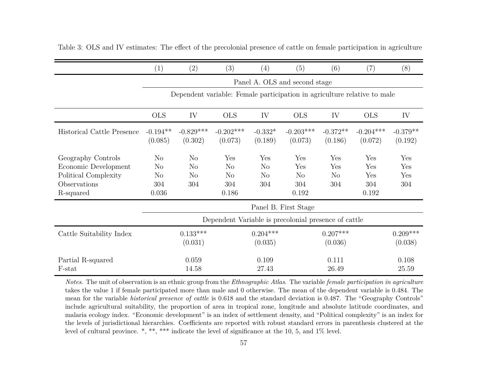|                                                                                                 | (1)                                                    | (2)                                                       | (3)                                                                      | (4)                                      | (5)                                          | (6)                           | (7)                               | (8)                      |
|-------------------------------------------------------------------------------------------------|--------------------------------------------------------|-----------------------------------------------------------|--------------------------------------------------------------------------|------------------------------------------|----------------------------------------------|-------------------------------|-----------------------------------|--------------------------|
|                                                                                                 |                                                        |                                                           |                                                                          |                                          | Panel A. OLS and second stage                |                               |                                   |                          |
|                                                                                                 |                                                        |                                                           | Dependent variable: Female participation in agriculture relative to male |                                          |                                              |                               |                                   |                          |
|                                                                                                 | <b>OLS</b>                                             | IV                                                        | <b>OLS</b>                                                               | IV                                       | <b>OLS</b>                                   | IV                            | <b>OLS</b>                        | IV                       |
| Historical Cattle Presence                                                                      | $-0.194**$<br>(0.085)                                  | $-0.829***$<br>(0.302)                                    | $-0.202***$<br>(0.073)                                                   | $-0.332*$<br>(0.189)                     | $-0.203***$<br>(0.073)                       | $-0.372**$<br>(0.186)         | $-0.204***$<br>(0.072)            | $-0.379**$<br>(0.192)    |
| Geography Controls<br>Economic Development<br>Political Complexity<br>Observations<br>R-squared | N <sub>o</sub><br>$\rm No$<br>$\rm No$<br>304<br>0.036 | N <sub>o</sub><br>N <sub>o</sub><br>N <sub>o</sub><br>304 | Yes<br>$\rm No$<br>$\rm No$<br>304<br>0.186                              | Yes<br>$\rm No$<br>N <sub>o</sub><br>304 | Yes<br>Yes<br>N <sub>o</sub><br>304<br>0.192 | Yes<br>Yes<br>$\rm No$<br>304 | Yes<br>Yes<br>Yes<br>304<br>0.192 | Yes<br>Yes<br>Yes<br>304 |
|                                                                                                 |                                                        |                                                           |                                                                          |                                          | Panel B. First Stage                         |                               |                                   |                          |
|                                                                                                 |                                                        |                                                           | Dependent Variable is precolonial presence of cattle                     |                                          |                                              |                               |                                   |                          |
| Cattle Suitability Index                                                                        |                                                        | $0.133***$<br>(0.031)                                     |                                                                          | $0.204***$<br>(0.035)                    |                                              | $0.207***$<br>(0.036)         |                                   | $0.209***$<br>(0.038)    |
| Partial R-squared<br>F-stat                                                                     |                                                        | 0.059<br>14.58                                            |                                                                          | 0.109<br>27.43                           |                                              | 0.111<br>26.49                |                                   | 0.108<br>25.59           |

Table 3: OLS and IV estimates: The effect of the precolonial presence of cattle on female participation in agriculture

*Notes*. The unit of observation is an ethnic group from the *Ethnographic Atlas*. The variable *female participation in agriculture* takes the value 1 if female participated more than male and 0 otherwise. The mean of the dependent variable is 0.484. The mean for the variable *historical presence of cattle* is 0.618 and the standard deviation is 0.487. The "Geography Controls" include agricultural suitability, the proportion of area in tropical zone, longitude and absolute latitude coordinates, and malaria ecology index. "Economic development" is an index of settlement density, and "Political complexity" is an index for the levels of jurisdictional hierarchies. Coefficients are reported with robust standard errors in parenthesis clustered at thelevel of cultural province. \*, \*\*, \*\*\* indicate the level of significance at the 10, 5, and 1% level.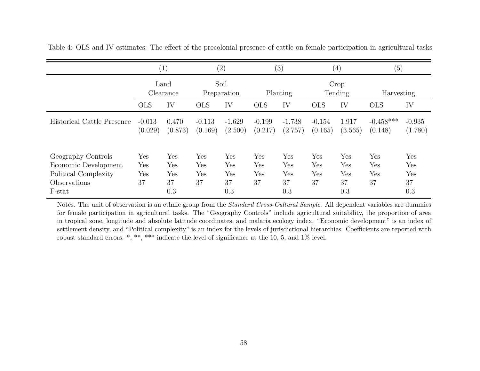|                                                                                              | (1)                     |                                |                         | $\left( 2\right)$              |                         | (3)                            |                         | $\left(4\right)$               | (5)                     |                                |
|----------------------------------------------------------------------------------------------|-------------------------|--------------------------------|-------------------------|--------------------------------|-------------------------|--------------------------------|-------------------------|--------------------------------|-------------------------|--------------------------------|
|                                                                                              |                         | Land<br>Clearance              |                         | Soil<br>Preparation            |                         | Planting                       |                         | Crop<br>Tending                | Harvesting              |                                |
|                                                                                              | <b>OLS</b>              | IV                             | <b>OLS</b>              | IV                             | <b>OLS</b>              | IV                             | <b>OLS</b>              | IV                             | <b>OLS</b>              | IV                             |
| Historical Cattle Presence                                                                   | $-0.013$<br>(0.029)     | 0.470<br>(0.873)               | $-0.113$<br>(0.169)     | $-1.629$<br>(2.500)            | $-0.199$<br>(0.217)     | $-1.738$<br>(2.757)            | $-0.154$<br>(0.165)     | 1.917<br>(3.565)               | $-0.458***$<br>(0.148)  | $-0.935$<br>(1.780)            |
| Geography Controls<br>Economic Development<br>Political Complexity<br>Observations<br>F-stat | Yes<br>Yes<br>Yes<br>37 | Yes<br>Yes<br>Yes<br>37<br>0.3 | Yes<br>Yes<br>Yes<br>37 | Yes<br>Yes<br>Yes<br>37<br>0.3 | Yes<br>Yes<br>Yes<br>37 | Yes<br>Yes<br>Yes<br>37<br>0.3 | Yes<br>Yes<br>Yes<br>37 | Yes<br>Yes<br>Yes<br>37<br>0.3 | Yes<br>Yes<br>Yes<br>37 | Yes<br>Yes<br>Yes<br>37<br>0.3 |

Table 4: OLS and IV estimates: The effect of the precolonial presence of cattle on female participation in agricultural tasks

Notes. The unit of observation is an ethnic group from the *Standard Cross-Cultural Sample*. All dependent variables are dummies for female participation in agricultural tasks. The "Geography Controls" include agricultural suitability, the proportion of area in tropical zone, longitude and absolute latitude coordinates, and malaria ecology index. "Economic development" is an index of settlement density, and "Political complexity" is an index for the levels of jurisdictional hierarchies. Coefficients are reported withrobust standard errors. \*, \*\*, \*\*\* indicate the level of significance at the 10, 5, and 1% level.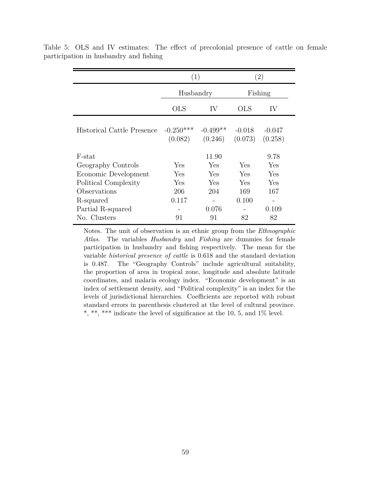|                            | (1)                    |                       | (2)                 |                     |
|----------------------------|------------------------|-----------------------|---------------------|---------------------|
|                            | Husbandry              |                       |                     | Fishing             |
|                            | <b>OLS</b>             | IV                    | <b>OLS</b>          | IV                  |
| Historical Cattle Presence | $-0.250***$<br>(0.082) | $-0.499**$<br>(0.246) | $-0.018$<br>(0.073) | $-0.047$<br>(0.258) |
| F-stat                     |                        | 11.90                 |                     | 9.78                |
| Geography Controls         | Yes                    | Yes                   | Yes                 | Yes                 |
| Economic Development       | Yes                    | Yes                   | Yes                 | Yes                 |
| Political Complexity       | Yes                    | Yes                   | Yes                 | Yes                 |
| Observations               | 206                    | 204                   | 169                 | 167                 |
| R-squared                  | 0.117                  |                       | 0.100               |                     |
| Partial R-squared          |                        | 0.076                 |                     | 0.109               |
| No. Clusters               | 91                     | 91                    | 82                  | 82                  |

Table 5: OLS and IV estimates: The effect of precolonial presence of cattle on female participation in husbandry and fishing

Notes. The unit of observation is an ethnic group from the *Ethnographic Atlas*. The variables *Husbandry* and *Fishing* are dummies for female participation in husbandry and fishing respectively. The mean for the variable *historical presence of cattle* is 0.618 and the standard deviation is 0.487. The "Geography Controls" include agricultural suitability, the proportion of area in tropical zone, longitude and absolute latitude coordinates, and malaria ecology index. "Economic development" is an index of settlement density, and "Political complexity" is an index for the levels of jurisdictional hierarchies. Coefficients are reported with robust standard errors in parenthesis clustered at the level of cultural province. \*, \*\*, \*\*\* indicate the level of significance at the 10, 5, and  $1\%$  level.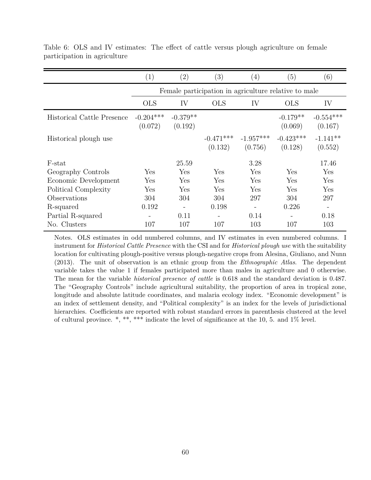|                                   | (1)                    | $\left( 2\right)$     | $\left( 3\right)$      | (4)                                                  | (5)                    | $\left( 6\right)$        |
|-----------------------------------|------------------------|-----------------------|------------------------|------------------------------------------------------|------------------------|--------------------------|
|                                   |                        |                       |                        | Female participation in agriculture relative to male |                        |                          |
|                                   | <b>OLS</b>             | IV                    | <b>OLS</b>             | IV                                                   | <b>OLS</b>             | IV                       |
| <b>Historical Cattle Presence</b> | $-0.204***$<br>(0.072) | $-0.379**$<br>(0.192) |                        |                                                      | $-0.179**$<br>(0.069)  | $-0.554***$<br>(0.167)   |
| Historical plough use             |                        |                       | $-0.471***$<br>(0.132) | $-1.957***$<br>(0.756)                               | $-0.423***$<br>(0.128) | $-1.141**$<br>(0.552)    |
| F-stat                            |                        | 25.59                 |                        | 3.28                                                 |                        | 17.46                    |
| Geography Controls                | Yes                    | Yes                   | Yes                    | Yes                                                  | Yes                    | Yes                      |
| Economic Development              | Yes                    | Yes                   | Yes                    | Yes                                                  | Yes                    | Yes                      |
| Political Complexity              | Yes                    | Yes                   | Yes                    | Yes                                                  | Yes                    | Yes                      |
| Observations                      | 304                    | 304                   | 304                    | 297                                                  | 304                    | 297                      |
| R-squared                         | 0.192                  |                       | 0.198                  | $\overline{\phantom{a}}$                             | 0.226                  | $\overline{\phantom{a}}$ |
| Partial R-squared                 |                        | 0.11                  |                        | 0.14                                                 |                        | 0.18                     |
| No. Clusters                      | 107                    | 107                   | 107                    | 103                                                  | 107                    | 103                      |

Table 6: OLS and IV estimates: The effect of cattle versus plough agriculture on female participation in agriculture

Notes. OLS estimates in odd numbered columns, and IV estimates in even numbered columns. I instrument for *Historical Cattle Presence* with the CSI and for *Historical plough use* with the suitability location for cultivating plough-positive versus plough-negative crops from Alesina, Giuliano, and Nunn (2013). The unit of observation is an ethnic group from the *Ethnographic Atlas*. The dependent variable takes the value 1 if females participated more than males in agriculture and 0 otherwise. The mean for the variable *historical presence of cattle* is 0.618 and the standard deviation is 0.487. The "Geography Controls" include agricultural suitability, the proportion of area in tropical zone, longitude and absolute latitude coordinates, and malaria ecology index. "Economic development" is an index of settlement density, and "Political complexity" is an index for the levels of jurisdictional hierarchies. Coefficients are reported with robust standard errors in parenthesis clustered at the level of cultural province. \*, \*\*, \*\*\* indicate the level of significance at the 10, 5. and 1% level.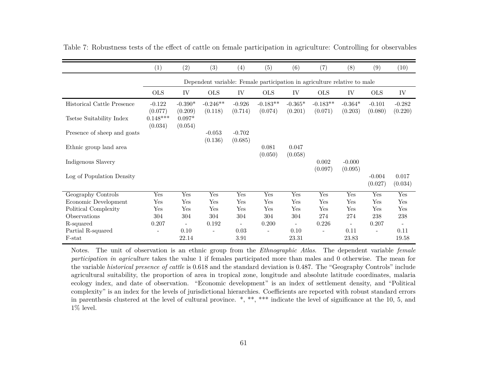|                             | (1)                              | (2)                            | (3)                      | $\left(4\right)$    | (5)                                                                      | (6)              | (7)            | (8)                      | (9)                      | (10)             |
|-----------------------------|----------------------------------|--------------------------------|--------------------------|---------------------|--------------------------------------------------------------------------|------------------|----------------|--------------------------|--------------------------|------------------|
|                             |                                  |                                |                          |                     | Dependent variable: Female participation in agriculture relative to male |                  |                |                          |                          |                  |
|                             | <b>OLS</b>                       | ${\rm IV}$                     | <b>OLS</b>               | IV                  | <b>OLS</b>                                                               | IV               | <b>OLS</b>     | IV                       | <b>OLS</b>               | ${\rm IV}$       |
| Historical Cattle Presence  | $-0.122$                         | $-0.390*$                      | $-0.246**$               | $-0.926$            | $-0.183**$                                                               | $-0.365*$        | $-0.183**$     | $-0.364*$                | $-0.101$                 | $-0.282$         |
| Tsetse Suitability Index    | (0.077)<br>$0.148***$<br>(0.034) | (0.209)<br>$0.097*$<br>(0.054) | (0.118)                  | (0.714)             | (0.074)                                                                  | (0.201)          | (0.071)        | (0.203)                  | (0.080)                  | (0.220)          |
| Presence of sheep and goats |                                  |                                | $-0.053$<br>(0.136)      | $-0.702$<br>(0.685) |                                                                          |                  |                |                          |                          |                  |
| Ethnic group land area      |                                  |                                |                          |                     | 0.081<br>(0.050)                                                         | 0.047<br>(0.058) |                |                          |                          |                  |
| Indigenous Slavery          |                                  |                                |                          |                     |                                                                          |                  | 0.002          | $-0.000$                 |                          |                  |
| Log of Population Density   |                                  |                                |                          |                     |                                                                          |                  | (0.097)        | (0.095)                  | $-0.004$<br>(0.027)      | 0.017<br>(0.034) |
| Geography Controls          | Yes                              | Yes                            | Yes                      | Yes                 | Yes                                                                      | Yes              | Yes            | Yes                      | Yes                      | Yes              |
| Economic Development        | Yes                              | Yes                            | Yes                      | Yes                 | Yes                                                                      | Yes              | Yes            | Yes                      | Yes                      | Yes              |
| Political Complexity        | Yes                              | Yes                            | Yes                      | Yes                 | Yes                                                                      | Yes              | Yes            | Yes                      | Yes                      | Yes              |
| Observations                | 304                              | 304                            | 304                      | 304                 | 304                                                                      | 304              | 274            | 274                      | 238                      | 238              |
| R-squared                   | 0.207                            |                                | 0.192                    |                     | 0.200                                                                    |                  | 0.226          | $\overline{\phantom{a}}$ | 0.207                    |                  |
| Partial R-squared<br>F-stat | $\overline{\phantom{a}}$         | 0.10<br>22.14                  | $\overline{\phantom{a}}$ | 0.03<br>3.91        | $\overline{\phantom{a}}$                                                 | 0.10<br>23.31    | $\overline{a}$ | 0.11<br>23.83            | $\overline{\phantom{a}}$ | 0.11<br>19.58    |

Table 7: Robustness tests of the effect of cattle on female participation in agriculture: Controlling for observables

Notes. The unit of observation is an ethnic group from the *Ethnographic Atlas*. The dependent variable *female participation in agriculture* takes the value <sup>1</sup> if females participated more than males and <sup>0</sup> otherwise. The mean for the variable *historical presence of cattle* is 0.618 and the standard deviation is 0.487. The "Geography Controls" include agricultural suitability, the proportion of area in tropical zone, longitude and absolute latitude coordinates, malaria ecology index, and date of observation. "Economic development" is an index of settlement density, and "Political complexity" is an index for the levels of jurisdictional hierarchies. Coefficients are reported with robust standard errors in parenthesis clustered at the level of cultural province. \*, \*\*, \*\*\* indicate the level of significance at the 10, 5, and $1\%$  level.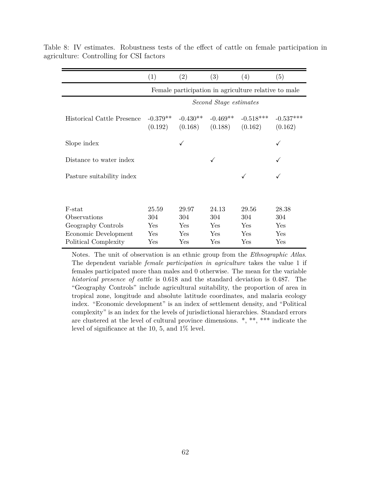|                                   | (1)                   | (2)                   | (3)                    | (4)                                                  | (5)                    |
|-----------------------------------|-----------------------|-----------------------|------------------------|------------------------------------------------------|------------------------|
|                                   |                       |                       |                        | Female participation in agriculture relative to male |                        |
|                                   |                       |                       | Second Stage estimates |                                                      |                        |
| <b>Historical Cattle Presence</b> | $-0.379**$<br>(0.192) | $-0.430**$<br>(0.168) | $-0.469**$<br>(0.188)  | $-0.518***$<br>(0.162)                               | $-0.537***$<br>(0.162) |
| Slope index                       |                       | ✓                     |                        |                                                      |                        |
| Distance to water index           |                       |                       |                        |                                                      |                        |
| Pasture suitability index         |                       |                       |                        |                                                      |                        |
|                                   |                       |                       |                        |                                                      |                        |
| F-stat                            | 25.59                 | 29.97                 | 24.13                  | 29.56                                                | 28.38                  |
| Observations                      | 304                   | 304                   | 304                    | 304                                                  | 304                    |
| Geography Controls                | Yes                   | Yes                   | Yes                    | Yes                                                  | Yes                    |
| Economic Development              | Yes                   | Yes                   | Yes                    | Yes                                                  | Yes                    |
| Political Complexity              | Yes                   | Yes                   | Yes                    | Yes                                                  | Yes                    |

Table 8: IV estimates. Robustness tests of the effect of cattle on female participation in agriculture: Controlling for CSI factors

Notes. The unit of observation is an ethnic group from the *Ethnographic Atlas*. The dependent variable *female participation in agriculture* takes the value 1 if females participated more than males and 0 otherwise. The mean for the variable *historical presence of cattle* is 0.618 and the standard deviation is 0.487. The "Geography Controls" include agricultural suitability, the proportion of area in tropical zone, longitude and absolute latitude coordinates, and malaria ecology index. "Economic development" is an index of settlement density, and "Political complexity" is an index for the levels of jurisdictional hierarchies. Standard errors are clustered at the level of cultural province dimensions. \*, \*\*, \*\*\* indicate the level of significance at the 10, 5, and 1% level.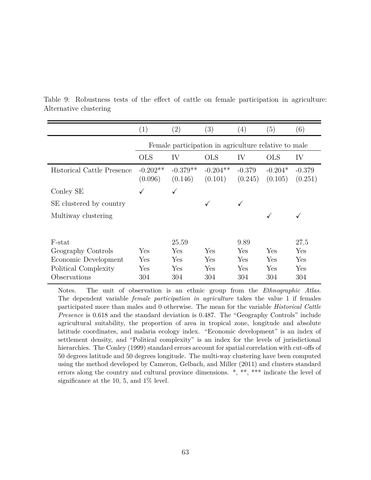|                                   | (1)                   | $\left( 2\right)$                                    | (3)                   | (4)                 | (5)                  | (6)                 |
|-----------------------------------|-----------------------|------------------------------------------------------|-----------------------|---------------------|----------------------|---------------------|
|                                   |                       | Female participation in agriculture relative to male |                       |                     |                      |                     |
|                                   | <b>OLS</b>            | IV                                                   | <b>OLS</b>            | IV                  | <b>OLS</b>           | IV                  |
| <b>Historical Cattle Presence</b> | $-0.202**$<br>(0.096) | $-0.379**$<br>(0.146)                                | $-0.204**$<br>(0.101) | $-0.379$<br>(0.245) | $-0.204*$<br>(0.105) | $-0.379$<br>(0.251) |
| Conley SE                         |                       | ✓                                                    |                       |                     |                      |                     |
| SE clustered by country           |                       |                                                      | ✓                     | ✓                   |                      |                     |
| Multiway clustering               |                       |                                                      |                       |                     |                      |                     |
|                                   |                       |                                                      |                       |                     |                      |                     |
| F-stat                            |                       | 25.59                                                |                       | 9.89                |                      | 27.5                |
| Geography Controls                | Yes                   | Yes                                                  | Yes                   | Yes                 | Yes                  | Yes                 |
| Economic Development              | Yes                   | Yes                                                  | Yes                   | Yes                 | Yes                  | Yes                 |
| Political Complexity              | Yes                   | Yes                                                  | Yes                   | Yes                 | Yes                  | Yes                 |
| Observations                      | 304                   | 304                                                  | 304                   | 304                 | 304                  | 304                 |

Table 9: Robustness tests of the effect of cattle on female participation in agriculture: Alternative clustering

Notes. The unit of observation is an ethnic group from the *Ethnographic Atlas*. The dependent variable *female participation in agriculture* takes the value 1 if females participated more than males and 0 otherwise. The mean for the variable *Historical Cattle Presence* is 0.618 and the standard deviation is 0.487. The "Geography Controls" include agricultural suitability, the proportion of area in tropical zone, longitude and absolute latitude coordinates, and malaria ecology index. "Economic development" is an index of settlement density, and "Political complexity" is an index for the levels of jurisdictional hierarchies. The Conley (1999) standard errors account for spatial correlation with cut-offs of 50 degrees latitude and 50 degrees longitude. The multi-way clustering have been computed using the method developed by Cameron, Gelbach, and Miller (2011) and clusters standard errors along the country and cultural province dimensions. \*, \*\*, \*\*\* indicate the level of significance at the 10, 5, and  $1\%$  level.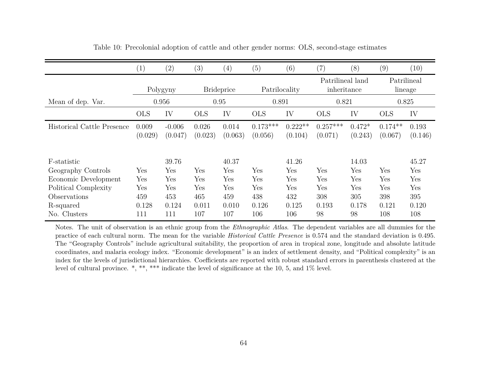|                                   | (1)              | (2)                 | (3)               | (4)              | (5)                   | (6)                  | (7)                             | (8)                 | (9)                    | (10)             |
|-----------------------------------|------------------|---------------------|-------------------|------------------|-----------------------|----------------------|---------------------------------|---------------------|------------------------|------------------|
|                                   | Polygyny         |                     | <b>Brideprice</b> |                  | Patrilocality         |                      | Patrilineal land<br>inheritance |                     | Patrilineal<br>lineage |                  |
| Mean of dep. Var.                 |                  | 0.956               | 0.95              |                  | 0.891                 |                      | 0.821                           |                     | 0.825                  |                  |
|                                   | <b>OLS</b>       | IV                  | <b>OLS</b>        | IV               | <b>OLS</b>            | IV                   | <b>OLS</b>                      | IV                  | <b>OLS</b>             | IV               |
| <b>Historical Cattle Presence</b> | 0.009<br>(0.029) | $-0.006$<br>(0.047) | 0.026<br>(0.023)  | 0.014<br>(0.063) | $0.173***$<br>(0.056) | $0.222**$<br>(0.104) | $0.257***$<br>(0.071)           | $0.472*$<br>(0.243) | $0.174**$<br>(0.067)   | 0.193<br>(0.146) |
| F-statistic                       |                  | 39.76               |                   | 40.37            |                       | 41.26                |                                 | 14.03               |                        | 45.27            |
| Geography Controls                | ${\rm Yes}$      | Yes                 | Yes               | Yes              | Yes                   | Yes                  | ${\rm Yes}$                     | Yes                 | Yes                    | Yes              |
| Economic Development              | Yes              | Yes                 | Yes               | Yes              | Yes                   | Yes                  | Yes                             | Yes                 | Yes                    | Yes              |
| Political Complexity              | ${\rm Yes}$      | Yes                 | Yes               | Yes              | Yes                   | Yes                  | ${\rm Yes}$                     | Yes                 | Yes                    | Yes              |
| Observations                      | 459              | 453                 | 465               | 459              | 438                   | 432                  | 308                             | 305                 | 398                    | 395              |
| R-squared                         | 0.128            | 0.124               | 0.011             | 0.010            | 0.126                 | 0.125                | 0.193                           | 0.178               | 0.121                  | 0.120            |
| No. Clusters                      | 111              | 111                 | 107               | 107              | 106                   | 106                  | 98                              | 98                  | 108                    | 108              |

Table 10: Precolonial adoption of cattle and other gender norms: OLS, second-stage estimates

Notes. The unit of observation is an ethnic group from the *Ethnographic Atlas*. The dependent variables are all dummies for the practice of each cultural norm. The mean for the variable *Historical Cattle Presence* is 0.574 and the standard deviation is 0.495. The "Geography Controls" include agricultural suitability, the proportion of area in tropical zone, longitude and absolute latitude coordinates, and malaria ecology index. "Economic development" is an index of settlement density, and "Political complexity" is an index for the levels of jurisdictional hierarchies. Coefficients are reported with robust standard errors in parenthesis clustered at thelevel of cultural province. \*, \*\*, \*\*\* indicate the level of significance at the 10, 5, and 1% level.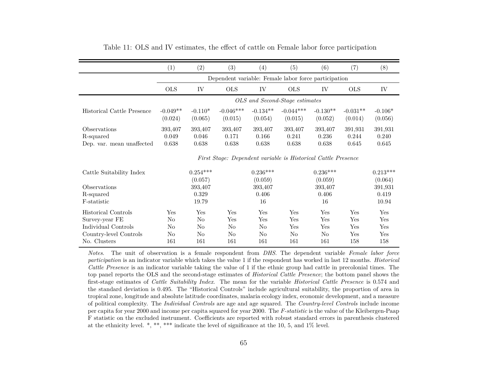|                                                        | (1)                       | $\left( 2\right)$         | (3)                                                           | (4)                       | (5)                            | (6)                       | (7)                       | (8)                       |
|--------------------------------------------------------|---------------------------|---------------------------|---------------------------------------------------------------|---------------------------|--------------------------------|---------------------------|---------------------------|---------------------------|
|                                                        |                           |                           | Dependent variable: Female labor force participation          |                           |                                |                           |                           |                           |
|                                                        | <b>OLS</b>                | IV                        | <b>OLS</b>                                                    | IV                        | <b>OLS</b>                     | IV                        | <b>OLS</b>                | IV                        |
|                                                        |                           |                           |                                                               |                           | OLS and Second-Stage estimates |                           |                           |                           |
| Historical Cattle Presence                             | $-0.049**$<br>(0.024)     | $-0.110*$<br>(0.065)      | $-0.046***$<br>(0.015)                                        | $-0.134**$<br>(0.054)     | $-0.044***$<br>(0.015)         | $-0.130**$<br>(0.052)     | $-0.031**$<br>(0.014)     | $-0.106*$<br>(0.056)      |
| Observations<br>R-squared<br>Dep. var. mean unaffected | 393,407<br>0.049<br>0.638 | 393,407<br>0.046<br>0.638 | 393,407<br>0.171<br>0.638                                     | 393,407<br>0.166<br>0.638 | 393,407<br>0.241<br>0.638      | 393,407<br>0.236<br>0.638 | 391,931<br>0.244<br>0.645 | 391,931<br>0.240<br>0.645 |
|                                                        |                           |                           | First Stage: Dependent variable is Historical Cattle Presence |                           |                                |                           |                           |                           |
| Cattle Suitability Index                               |                           | $0.254***$<br>(0.057)     |                                                               | $0.236***$<br>(0.059)     |                                | $0.236***$<br>(0.059)     |                           | $0.213***$<br>(0.064)     |
| Observations<br>R-squared<br>F-statistic               |                           | 393,407<br>0.329<br>19.79 |                                                               | 393,407<br>0.406<br>16    |                                | 393,407<br>0.406<br>16    |                           | 391,931<br>0.419<br>10.94 |
| <b>Historical Controls</b><br>Survey-year FE           | Yes<br>No                 | Yes<br>No                 | Yes<br>Yes                                                    | Yes<br>Yes                | Yes<br>Yes                     | Yes<br>Yes                | Yes<br>Yes                | Yes<br>Yes                |
| Individual Controls<br>Country-level Controls          | No<br>No                  | No<br>No                  | No<br>No                                                      | No<br>No                  | Yes<br>No.                     | Yes<br>N <sub>o</sub>     | Yes<br>Yes                | Yes<br>Yes                |
| No. Clusters                                           | 161                       | 161                       | 161                                                           | 161                       | 161                            | 161                       | 158                       | 158                       |

| Table 11: OLS and IV estimates, the effect of cattle on Female labor force participation |  |  |
|------------------------------------------------------------------------------------------|--|--|
|------------------------------------------------------------------------------------------|--|--|

*Notes*. The unit of observation is <sup>a</sup> female respondent from *DHS*. The dependent variable *Female labor force participation* is an indicator variable which takes the value <sup>1</sup> if the respondent has worked in last <sup>12</sup> months. *Historical Cattle Presence* is an indicator variable taking the value of <sup>1</sup> if the ethnic group had cattle in precolonial times. The top panel reports the OLS and the second-stage estimates of *Historical Cattle Presence*; the bottom pane<sup>l</sup> shows the first-stage estimates of *Cattle Suitability Index*. The mean for the variable *Historical Cattle Presence* is 0.574 and the standard deviation is 0.495. The "Historical Controls" include agricultural suitability, the proportion of area in tropical zone, longitude and absolute latitude coordinates, malaria ecology index, economic development, and <sup>a</sup> measure of political complexity. The *Individual Controls* are age and age squared. The *Country-level Controls* include income per capita for year 2000 and income per capita squared for year 2000. The *F-statistic* is the value of the Kleibergen-Paap F statistic on the excluded instrument. Coefficients are reported with robust standard errors in parenthesis clusteredat the ethnicity level. \*, \*\*, \*\*\* indicate the level of significance at the 10, 5, and 1% level.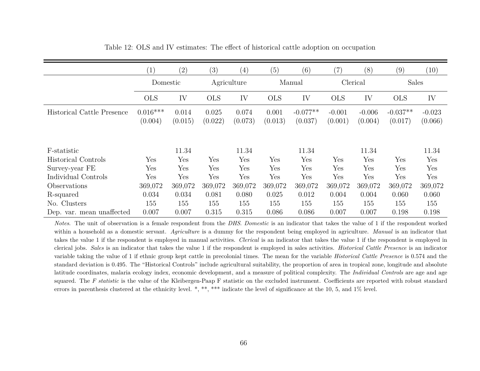|                            | $\left( 1\right)$     | $\left( 2\right)$ | (3)              | (4)              | (5)              | (6)                   | (7)                 | (8)                  | (9)                   | (10)                |
|----------------------------|-----------------------|-------------------|------------------|------------------|------------------|-----------------------|---------------------|----------------------|-----------------------|---------------------|
|                            | Domestic              |                   | Agriculture      |                  | Manual           |                       | Clerical            |                      | <b>Sales</b>          |                     |
|                            | <b>OLS</b>            | IV                | <b>OLS</b>       | IV               | <b>OLS</b>       | IV                    | <b>OLS</b>          | IV                   | <b>OLS</b>            | IV                  |
| Historical Cattle Presence | $0.016***$<br>(0.004) | 0.014<br>(0.015)  | 0.025<br>(0.022) | 0.074<br>(0.073) | 0.001<br>(0.013) | $-0.077**$<br>(0.037) | $-0.001$<br>(0.001) | $-0.006$<br>(0.004)  | $-0.037**$<br>(0.017) | $-0.023$<br>(0.066) |
| F-statistic                |                       | 11.34             |                  | 11.34            |                  | 11.34                 |                     | 11.34                |                       | 11.34               |
| <b>Historical Controls</b> | Yes                   | Yes               | Yes              | Yes              | Yes              | Yes                   | Yes                 | Yes                  | Yes                   | Yes                 |
| Survey-year FE             | Yes                   | Yes               | Yes              | Yes              | Yes              | Yes                   | Yes                 | $\operatorname{Yes}$ | Yes                   | Yes                 |
| Individual Controls        | Yes                   | Yes               | Yes              | Yes              | Yes              | Yes                   | Yes                 | Yes                  | Yes                   | Yes                 |
| Observations               | 369,072               | 369,072           | 369,072          | 369,072          | 369,072          | 369,072               | 369,072             | 369,072              | 369,072               | 369,072             |
| R-squared                  | 0.034                 | 0.034             | 0.081            | 0.080            | 0.025            | 0.012                 | 0.004               | 0.004                | 0.060                 | 0.060               |
| No. Clusters               | 155                   | 155               | 155              | 155              | 155              | 155                   | 155                 | 155                  | 155                   | 155                 |
| Dep. var. mean unaffected  | 0.007                 | 0.007             | 0.315            | 0.315            | 0.086            | 0.086                 | 0.007               | 0.007                | 0.198                 | 0.198               |

Table 12: OLS and IV estimates: The effect of historical cattle adoption on occupation

*Notes*. The unit of observation is <sup>a</sup> female respondent from the *DHS*. *Domestic* is an indicator that takes the value of <sup>1</sup> if the respondent worked within <sup>a</sup> household as <sup>a</sup> domestic servant. *Agriculture* is <sup>a</sup> dummy for the respondent being employed in agriculture. *Manual* is an indicator that takes the value 1 if the respondent is employed in manual activities. *Clerical* is an indicator that takes the value <sup>1</sup> if the respondent is employed in clerical jobs. *Sales* is an indicator that takes the value <sup>1</sup> if the respondent is employed in sales activities. *Historical Cattle Presence* is an indicator variable taking the value of 1 if ethnic group kept cattle in precolonial times. The mean for the variable *Historical Cattle Presence* is 0.574 and the standard deviation is 0.495. The "Historical Controls" include agricultural suitability, the proportion of area in tropical zone, longitude and absolutelatitude coordinates, malaria ecology index, economic development, and <sup>a</sup> measure of political complexity. The *Individual Controls* are age and age squared. The *<sup>F</sup> statistic* is the value of the Kleibergen-Paap <sup>F</sup> statistic on the excluded instrument. Coefficients are reported with robust standarderrors in parenthesis clustered at the ethnicity level. \*, \*\*, \*\*\* indicate the level of significance at the 10, 5, and 1% level.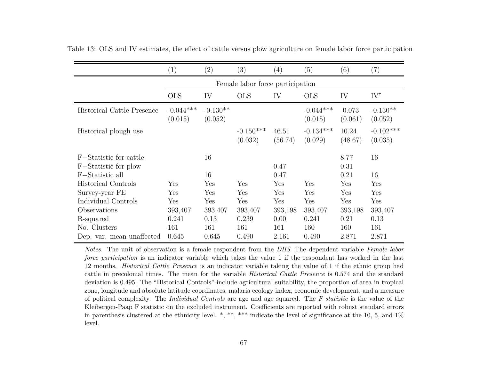|                                                                   | $\left( 1\right)$                | (2)                    | (3)                     | (4)                    | (5)                     | (6)                    | (7)                    |  |  |  |  |
|-------------------------------------------------------------------|----------------------------------|------------------------|-------------------------|------------------------|-------------------------|------------------------|------------------------|--|--|--|--|
|                                                                   | Female labor force participation |                        |                         |                        |                         |                        |                        |  |  |  |  |
|                                                                   | <b>OLS</b>                       | IV                     | <b>OLS</b>              | IV                     | <b>OLS</b>              | IV                     | $IV^{\dagger}$         |  |  |  |  |
| <b>Historical Cattle Presence</b>                                 | $-0.044***$<br>(0.015)           | $-0.130**$<br>(0.052)  |                         |                        | $-0.044***$<br>(0.015)  | $-0.073$<br>(0.061)    | $-0.130**$<br>(0.052)  |  |  |  |  |
| Historical plough use                                             |                                  |                        | $-0.150***$<br>(0.032)  | 46.51<br>(56.74)       | $-0.134***$<br>(0.029)  | 10.24<br>(48.67)       | $-0.102***$<br>(0.035) |  |  |  |  |
| F-Statistic for cattle<br>F-Statistic for plow<br>F-Statistic all |                                  | 16<br>16               |                         | 0.47<br>0.47           |                         | 8.77<br>0.31<br>0.21   | 16<br>16               |  |  |  |  |
| <b>Historical Controls</b>                                        | Yes                              | Yes                    | Yes                     | Yes                    | Yes                     | ${\rm Yes}$            | Yes                    |  |  |  |  |
| Survey-year FE                                                    | Yes                              | Yes                    | Yes                     | Yes                    | Yes                     | ${\rm Yes}$            | Yes                    |  |  |  |  |
| Individual Controls                                               | Yes                              | Yes                    | Yes                     | Yes                    | Yes                     | Yes                    | Yes                    |  |  |  |  |
| Observations<br>R-squared<br>No. Clusters                         | 393,407<br>0.241<br>161          | 393,407<br>0.13<br>161 | 393,407<br>0.239<br>161 | 393,198<br>0.00<br>161 | 393,407<br>0.241<br>160 | 393,198<br>0.21<br>160 | 393,407<br>0.13<br>161 |  |  |  |  |
| Dep. var. mean unaffected                                         | 0.645                            | 0.645                  | 0.490                   | 2.161                  | 0.490                   | 2.871                  | 2.871                  |  |  |  |  |

Table 13: OLS and IV estimates, the effect of cattle versus <sup>p</sup>low agriculture on female labor force participation

*Notes*. The unit of observation is <sup>a</sup> female respondent from the *DHS*. The dependent variable *Female labor force participation* is an indicator variable which takes the value 1 if the respondent has worked in the last 12 months. *Historical Cattle Presence* is an indicator variable taking the value of <sup>1</sup> if the ethnic group had cattle in precolonial times. The mean for the variable *Historical Cattle Presence* is 0.574 and the standard deviation is 0.495. The "Historical Controls" include agricultural suitability, the proportion of area in tropicalzone, longitude and absolute latitude coordinates, malaria ecology index, economic development, and <sup>a</sup> measure of political complexity. The *Individual Controls* are age and age squared. The *<sup>F</sup> statistic* is the value of the Kleibergen-Paap F statistic on the excluded instrument. Coefficients are reported with robust standard errorsin parenthesis clustered at the ethnicity level. \*, \*\*, \*\*\* indicate the level of significance at the 10, 5, and  $1\%$ level.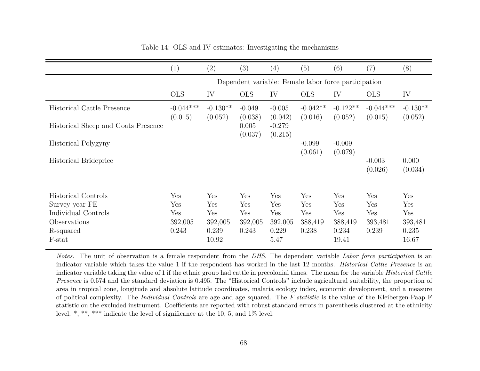|                                                                                                            | (1)                                                  | (2)                                            | $\left( 3\right)$                     | $\left( 4\right)$                             | (5)                                   | (6)                                                                              | (7)                                   | (8)                                            |  |  |
|------------------------------------------------------------------------------------------------------------|------------------------------------------------------|------------------------------------------------|---------------------------------------|-----------------------------------------------|---------------------------------------|----------------------------------------------------------------------------------|---------------------------------------|------------------------------------------------|--|--|
|                                                                                                            | Dependent variable: Female labor force participation |                                                |                                       |                                               |                                       |                                                                                  |                                       |                                                |  |  |
|                                                                                                            | <b>OLS</b>                                           | IV                                             | <b>OLS</b>                            | IV                                            | <b>OLS</b>                            | IV                                                                               | <b>OLS</b>                            | IV                                             |  |  |
| <b>Historical Cattle Presence</b>                                                                          | $-0.044***$<br>(0.015)                               | $-0.130**$<br>(0.052)                          | $-0.049$<br>(0.038)                   | $-0.005$<br>(0.042)                           | $-0.042**$<br>(0.016)                 | $-0.122**$<br>(0.052)                                                            | $-0.044***$<br>(0.015)                | $-0.130**$<br>(0.052)                          |  |  |
| Historical Sheep and Goats Presence                                                                        |                                                      |                                                | 0.005<br>(0.037)                      | $-0.279$<br>(0.215)                           |                                       |                                                                                  |                                       |                                                |  |  |
| Historical Polygyny                                                                                        |                                                      |                                                |                                       |                                               | $-0.099$<br>(0.061)                   | $-0.009$<br>(0.079)                                                              |                                       |                                                |  |  |
| Historical Brideprice                                                                                      |                                                      |                                                |                                       |                                               |                                       |                                                                                  | $-0.003$<br>(0.026)                   | 0.000<br>(0.034)                               |  |  |
| <b>Historical Controls</b><br>Survey-year FE<br>Individual Controls<br>Observations<br>R-squared<br>F-stat | Yes<br>Yes<br>Yes<br>392,005<br>0.243                | Yes<br>Yes<br>Yes<br>392,005<br>0.239<br>10.92 | Yes<br>Yes<br>Yes<br>392,005<br>0.243 | Yes<br>Yes<br>Yes<br>392,005<br>0.229<br>5.47 | Yes<br>Yes<br>Yes<br>388,419<br>0.238 | Yes<br>$\operatorname{Yes}$<br>$\operatorname{Yes}$<br>388,419<br>0.234<br>19.41 | Yes<br>Yes<br>Yes<br>393,481<br>0.239 | Yes<br>Yes<br>Yes<br>393,481<br>0.235<br>16.67 |  |  |

Table 14: OLS and IV estimates: Investigating the mechanisms

*Notes*. The unit of observation is <sup>a</sup> female respondent from the *DHS*. The dependent variable *Labor force participation* is an indicator variable which takes the value 1 if the respondent has worked in the last 12 months. *Historical Cattle Presence* is an indicator variable taking the value of 1 if the ethnic group had cattle in precolonial times. The mean for the variable *Historical Cattle Presence* is 0.574 and the standard deviation is 0.495. The "Historical Controls" include agricultural suitability, the proportion of area in tropical zone, longitude and absolute latitude coordinates, malaria ecology index, economic development, and <sup>a</sup> measure of political complexity. The *Individual Controls* are age and age squared. The *<sup>F</sup> statistic* is the value of the Kleibergen-Paap <sup>F</sup> statistic on the excluded instrument. Coefficients are reported with robust standard errors in parenthesis clustered at the ethnicitylevel. \*, \*\*, \*\*\* indicate the level of significance at the 10, 5, and 1% level.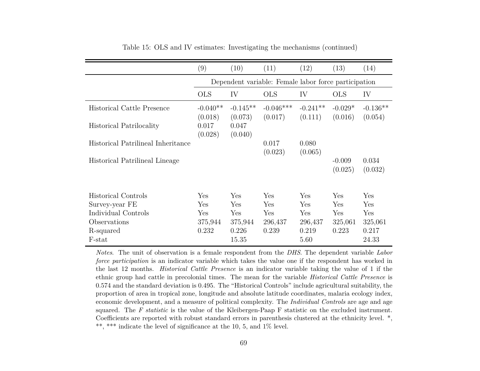|                                    | (9)                   | (10)                                                 | (11)                   | (12)                  | (13)                 | (14)                  |  |  |  |
|------------------------------------|-----------------------|------------------------------------------------------|------------------------|-----------------------|----------------------|-----------------------|--|--|--|
|                                    |                       | Dependent variable: Female labor force participation |                        |                       |                      |                       |  |  |  |
|                                    | <b>OLS</b>            | IV                                                   | <b>OLS</b>             | IV                    | <b>OLS</b>           | IV                    |  |  |  |
| <b>Historical Cattle Presence</b>  | $-0.040**$<br>(0.018) | $-0.145**$<br>(0.073)                                | $-0.046***$<br>(0.017) | $-0.241**$<br>(0.111) | $-0.029*$<br>(0.016) | $-0.136**$<br>(0.054) |  |  |  |
| <b>Historical Patrilocality</b>    | 0.017<br>(0.028)      | 0.047<br>(0.040)                                     |                        |                       |                      |                       |  |  |  |
| Historical Patrilineal Inheritance |                       |                                                      | 0.017<br>(0.023)       | 0.080<br>(0.065)      |                      |                       |  |  |  |
| Historical Patrilineal Lineage     |                       |                                                      |                        |                       | $-0.009$<br>(0.025)  | 0.034<br>(0.032)      |  |  |  |
| <b>Historical Controls</b>         | Yes                   | Yes                                                  | Yes                    | Yes                   | Yes                  | Yes                   |  |  |  |
| Survey-year FE                     | Yes                   | Yes                                                  | Yes                    | Yes                   | Yes                  | Yes                   |  |  |  |
| Individual Controls                | Yes                   | Yes                                                  | Yes                    | Yes                   | Yes                  | Yes                   |  |  |  |
| Observations                       | 375,944               | 375,944                                              | 296,437                | 296,437               | 325,061              | 325,061               |  |  |  |
| R-squared                          | 0.232                 | 0.226                                                | 0.239                  | 0.219                 | 0.223                | 0.217                 |  |  |  |
| F-stat                             |                       | 15.35                                                |                        | 5.60                  |                      | 24.33                 |  |  |  |

|  |  |  |  | Table 15: OLS and IV estimates: Investigating the mechanisms (continued) |  |  |  |  |
|--|--|--|--|--------------------------------------------------------------------------|--|--|--|--|
|--|--|--|--|--------------------------------------------------------------------------|--|--|--|--|

*Notes*. The unit of observation is <sup>a</sup> female respondent from the *DHS*. The dependent variable *Labor force* participation is an indicator variable which takes the value one if the respondent has worked in the last 12 months. *Historical Cattle Presence* is an indicator variable taking the value of <sup>1</sup> if the ethnic group had cattle in precolonial times. The mean for the variable *Historical Cattle Presence* is 0.574 and the standard deviation is 0.495. The "Historical Controls" include agricultural suitability, the proportion of area in tropical zone, longitude and absolute latitude coordinates, malaria ecology index,economic development, and <sup>a</sup> measure of political complexity. The *Individual Controls* are age and age squared. The *<sup>F</sup> statistic* is the value of the Kleibergen-Paap <sup>F</sup> statistic on the excluded instrument. Coefficients are reported with robust standard errors in parenthesis clustered at the ethnicity level. \*,\*\*, \*\*\* indicate the level of significance at the 10, 5, and 1% level.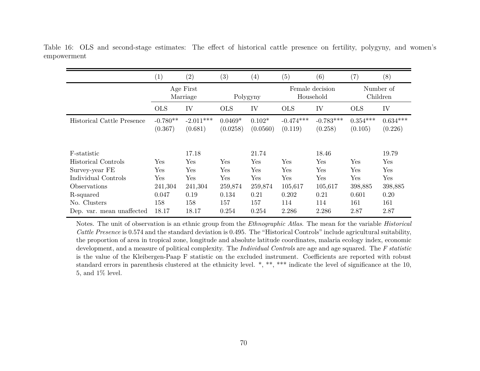|                                   | (1)                   | (2)                    | $\left( 3\right)$     | $\left(4\right)$     | (5)                          | (6)                    | $\left( 7\right)$     | (8)                   |
|-----------------------------------|-----------------------|------------------------|-----------------------|----------------------|------------------------------|------------------------|-----------------------|-----------------------|
|                                   | Age First<br>Marriage |                        | Polygyny              |                      | Female decision<br>Household |                        | Number of<br>Children |                       |
|                                   | <b>OLS</b>            | IV                     | <b>OLS</b>            | IV                   | <b>OLS</b>                   | IV                     | <b>OLS</b>            | IV                    |
| <b>Historical Cattle Presence</b> | $-0.780**$<br>(0.367) | $-2.011***$<br>(0.681) | $0.0469*$<br>(0.0258) | $0.102*$<br>(0.0560) | $-0.474***$<br>(0.119)       | $-0.783***$<br>(0.258) | $0.354***$<br>(0.105) | $0.634***$<br>(0.226) |
| F-statistic                       |                       | 17.18                  |                       | 21.74                |                              | 18.46                  |                       | 19.79                 |
| <b>Historical Controls</b>        | Yes                   | Yes                    | Yes                   | Yes                  | Yes                          | Yes                    | Yes                   | Yes                   |
| Survey-year FE                    | Yes                   | Yes                    | Yes                   | $_{\rm Yes}$         | Yes                          | $\operatorname{Yes}$   | Yes                   | Yes                   |
| Individual Controls               | Yes                   | Yes                    | Yes                   | $_{\rm Yes}$         | Yes                          | $\operatorname{Yes}$   | Yes                   | Yes                   |
| Observations                      | 241,304               | 241,304                | 259,874               | 259,874              | 105,617                      | 105,617                | 398,885               | 398,885               |
| R-squared                         | 0.047                 | 0.19                   | 0.134                 | 0.21                 | 0.202                        | 0.21                   | 0.601                 | 0.20                  |
| No. Clusters                      | 158                   | 158                    | 157                   | 157                  | 114                          | 114                    | 161                   | 161                   |
| Dep. var. mean unaffected         | 18.17                 | 18.17                  | 0.254                 | 0.254                | 2.286                        | 2.286                  | 2.87                  | 2.87                  |

Table 16: OLS and second-stage estimates: The effect of historical cattle presence on fertility, polygyny, and women'sempowerment

Notes. The unit of observation is an ethnic group from the *Ethnographic Atlas*. The mean for the variable *Historical Cattle Presence* is 0.574 and the standard deviation is 0.495. The "Historical Controls" include agricultural suitability, the proportion of area in tropical zone, longitude and absolute latitude coordinates, malaria ecology index, economic development, and <sup>a</sup> measure of political complexity. The *Individual Controls* are age and age squared. The *<sup>F</sup> statistic* is the value of the Kleibergen-Paap F statistic on the excluded instrument. Coefficients are reported with robuststandard errors in parenthesis clustered at the ethnicity level. \*, \*\*, \*\*\* indicate the level of significance at the 10, 5, and 1% level.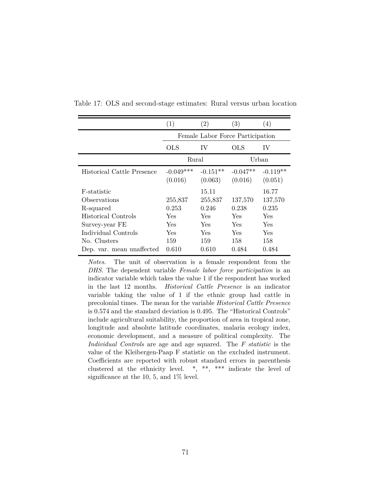|                            | (1)                              | $\left( 2\right)$     | $\left( 3\right)$     | (4)                   |  |  |  |
|----------------------------|----------------------------------|-----------------------|-----------------------|-----------------------|--|--|--|
|                            | Female Labor Force Participation |                       |                       |                       |  |  |  |
|                            | OLS                              | IV                    | OLS                   | IV                    |  |  |  |
|                            | Rural                            |                       |                       | Urban                 |  |  |  |
| Historical Cattle Presence | $-0.049***$<br>(0.016)           | $-0.151**$<br>(0.063) | $-0.047**$<br>(0.016) | $-0.119**$<br>(0.051) |  |  |  |
| F-statistic                |                                  | 15.11                 |                       | 16.77                 |  |  |  |
| Observations               | 255,837                          | 255,837               | 137,570               | 137,570               |  |  |  |
| R-squared                  | 0.253                            | 0.246                 | 0.238                 | 0.235                 |  |  |  |
| Historical Controls        | <b>Yes</b>                       | <b>Yes</b>            | Yes                   | Yes                   |  |  |  |
| Survey-year FE             | Yes                              | <b>Yes</b>            | Yes                   | <b>Yes</b>            |  |  |  |
| Individual Controls        | Yes                              | <b>Yes</b>            | Yes                   | Yes                   |  |  |  |
| No. Clusters               | 159                              | 159                   | 158                   | 158                   |  |  |  |
| Dep. var. mean unaffected  | 0.610                            | 0.610                 | 0.484                 | 0.484                 |  |  |  |

Table 17: OLS and second-stage estimates: Rural versus urban location

*Notes*. The unit of observation is a female respondent from the *DHS*. The dependent variable *Female labor force participation* is an indicator variable which takes the value 1 if the respondent has worked in the last 12 months. *Historical Cattle Presence* is an indicator variable taking the value of 1 if the ethnic group had cattle in precolonial times. The mean for the variable *Historical Cattle Presence* is 0.574 and the standard deviation is 0.495. The "Historical Controls" include agricultural suitability, the proportion of area in tropical zone, longitude and absolute latitude coordinates, malaria ecology index, economic development, and a measure of political complexity. The *Individual Controls* are age and age squared. The *F statistic* is the value of the Kleibergen-Paap F statistic on the excluded instrument. Coefficients are reported with robust standard errors in parenthesis clustered at the ethnicity level. \*, \*\*, \*\*\* indicate the level of significance at the 10, 5, and 1% level.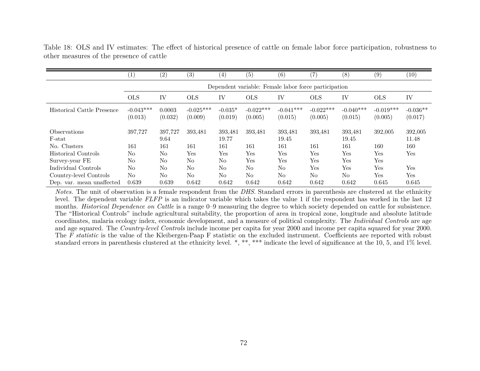|                                      | (1)                    | (2)                                                  | (3)                    | $\left(4\right)$     | (5)                    | (6)                    | $\left( 7\right)$      | (8)                    | (9)                    | (10)                  |  |  |
|--------------------------------------|------------------------|------------------------------------------------------|------------------------|----------------------|------------------------|------------------------|------------------------|------------------------|------------------------|-----------------------|--|--|
|                                      |                        | Dependent variable: Female labor force participation |                        |                      |                        |                        |                        |                        |                        |                       |  |  |
|                                      | <b>OLS</b>             | IV                                                   | <b>OLS</b>             | IV                   | <b>OLS</b>             | IV                     | <b>OLS</b>             | IV                     | <b>OLS</b>             | IV                    |  |  |
| Historical Cattle Presence           | $-0.043***$<br>(0.013) | 0.0003<br>(0.032)                                    | $-0.025***$<br>(0.009) | $-0.035*$<br>(0.019) | $-0.022***$<br>(0.005) | $-0.041***$<br>(0.015) | $-0.022***$<br>(0.005) | $-0.040***$<br>(0.015) | $-0.019***$<br>(0.005) | $-0.036**$<br>(0.017) |  |  |
| <i><b>Observations</b></i><br>F-stat | 397,727                | 397,727<br>9.64                                      | 393,481                | 393,481<br>19.77     | 393,481                | 393,481<br>19.45       | 393,481                | 393,481<br>19.45       | 392,005                | 392,005<br>11.48      |  |  |
| No. Clusters                         | 161                    | 161                                                  | 161                    | 161                  | 161                    | 161                    | 161                    | 161                    | 160                    | 160                   |  |  |
| Historical Controls                  | N <sub>o</sub>         | No                                                   | Yes                    | Yes                  | Yes                    | Yes                    | Yes                    | Yes                    | Yes                    | Yes                   |  |  |
| Survey-year FE                       | No                     | N <sub>o</sub>                                       | No                     | No                   | Yes                    | Yes                    | Yes                    | Yes                    | Yes                    |                       |  |  |
| Individual Controls                  | No                     | No                                                   | No                     | No                   | N <sub>o</sub>         | No                     | Yes                    | Yes                    | Yes                    | Yes                   |  |  |
| Country-level Controls               | N <sub>o</sub>         | No                                                   | N <sub>o</sub>         | N <sub>o</sub>       | No                     | No                     | N <sub>o</sub>         | N <sub>o</sub>         | Yes                    | Yes                   |  |  |
| Dep. var. mean unaffected            | 0.639                  | 0.639                                                | 0.642                  | 0.642                | 0.642                  | 0.642                  | 0.642                  | 0.642                  | 0.645                  | 0.645                 |  |  |

Table 18: OLS and IV estimates: The effect of historical presence of cattle on female labor force participation, robustness toother measures of the presence of cattle

*Notes*. The unit of observation is <sup>a</sup> female respondent from the *DHS*. Standard errors in parenthesis are clustered at the ethnicity level. The dependent variable *FLFP* is an indicator variable which takes the value <sup>1</sup> if the respondent has worked in the last <sup>12</sup> months. *Historical Dependence on Cattle* is <sup>a</sup> range 0–9 measuring the degree to which society depended on cattle for subsistence. The "Historical Controls" include agricultural suitability, the proportion of area in tropical zone, longitude and absolute latitude coordinates, malaria ecology index, economic development, and <sup>a</sup> measure of political complexity. The *Individual Controls* are age and age squared. The *Country-level Controls* include income per capita for year <sup>2000</sup> and income per capita squared for year 2000. The *<sup>F</sup> statistic* is the value of the Kleibergen-Paap <sup>F</sup> statistic on the excluded instrument. Coefficients are reported with robust standard errors in parenthesis clustered at the ethnicity level. \*, \*\*, \*\*\* indicate the level of significance at the 10, 5, and 1% level.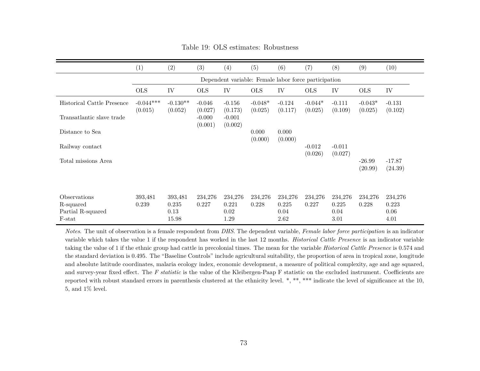|                                                          | (1)                                                  | (2)                               | (3)                            | (4)                              | (5)                  | (6)                              | (7)                  | (8)                              | (9)                  | (10)                             |
|----------------------------------------------------------|------------------------------------------------------|-----------------------------------|--------------------------------|----------------------------------|----------------------|----------------------------------|----------------------|----------------------------------|----------------------|----------------------------------|
|                                                          | Dependent variable: Female labor force participation |                                   |                                |                                  |                      |                                  |                      |                                  |                      |                                  |
|                                                          | <b>OLS</b>                                           | IV                                | <b>OLS</b>                     | IV                               | <b>OLS</b>           | IV                               | <b>OLS</b>           | IV                               | <b>OLS</b>           | IV                               |
| Historical Cattle Presence                               | $-0.044***$<br>(0.015)                               | $-0.130**$<br>(0.052)             | $-0.046$                       | $-0.156$<br>(0.173)              | $-0.048*$<br>(0.025) | $-0.124$<br>(0.117)              | $-0.044*$<br>(0.025) | $-0.111$<br>(0.109)              | $-0.043*$<br>(0.025) | $-0.131$                         |
| Transatlantic slave trade                                |                                                      |                                   | (0.027)<br>$-0.000$<br>(0.001) | $-0.001$<br>(0.002)              |                      |                                  |                      |                                  |                      | (0.102)                          |
| Distance to Sea                                          |                                                      |                                   |                                |                                  | 0.000<br>(0.000)     | 0.000<br>(0.000)                 |                      |                                  |                      |                                  |
| Railway contact                                          |                                                      |                                   |                                |                                  |                      |                                  | $-0.012$<br>(0.026)  | $-0.011$<br>(0.027)              |                      |                                  |
| Total missions Area                                      |                                                      |                                   |                                |                                  |                      |                                  |                      |                                  | $-26.99$<br>(20.99)  | $-17.87$<br>(24.39)              |
| Observations<br>R-squared<br>Partial R-squared<br>F-stat | 393,481<br>0.239                                     | 393,481<br>0.235<br>0.13<br>15.98 | 234,276<br>0.227               | 234,276<br>0.221<br>0.02<br>1.29 | 234,276<br>0.228     | 234,276<br>0.225<br>0.04<br>2.62 | 234,276<br>0.227     | 234,276<br>0.225<br>0.04<br>3.01 | 234,276<br>0.228     | 234,276<br>0.223<br>0.06<br>4.01 |

Table 19: OLS estimates: Robustness

*Notes*. The unit of observation is <sup>a</sup> female respondent from *DHS*. The dependent variable, *Female labor force participation* is an indicator variable which takes the value 1 if the respondent has worked in the last 12 months. *Historical Cattle Presence* is an indicator variable taking the value of 1 if the ethnic group had cattle in precolonial times. The mean for the variable *Historical Cattle Presence* is 0.574 and the standard deviation is 0.495. The "Baseline Controls" include agricultural suitability, the proportion of area in tropical zone, longitudeand absolute latitude coordinates, malaria ecology index, economic development, <sup>a</sup> measure of political complexity, age and age squared,and survey-year fixed effect. The *<sup>F</sup> statistic* is the value of the Kleibergen-Paap <sup>F</sup> statistic on the excluded instrument. Coefficients are reported with robust standard errors in parenthesis clustered at the ethnicity level. \*, \*\*, \*\*\* indicate the level of significance at the 10, 5, and 1% level.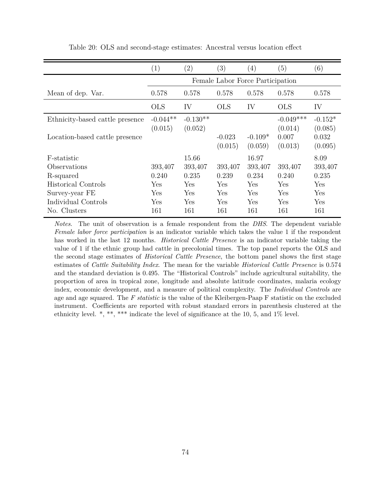|                                 | (1)                              | $\left( 2\right)$     | (3)                 | (4)                  | (5)                    | (6)                  |  |  |  |
|---------------------------------|----------------------------------|-----------------------|---------------------|----------------------|------------------------|----------------------|--|--|--|
|                                 | Female Labor Force Participation |                       |                     |                      |                        |                      |  |  |  |
| Mean of dep. Var.               | 0.578                            | 0.578                 | 0.578               | 0.578                | 0.578                  | 0.578                |  |  |  |
|                                 | <b>OLS</b>                       | IV                    | <b>OLS</b>          | IV                   | <b>OLS</b>             | IV                   |  |  |  |
| Ethnicity-based cattle presence | $-0.044**$<br>(0.015)            | $-0.130**$<br>(0.052) |                     |                      | $-0.049***$<br>(0.014) | $-0.152*$<br>(0.085) |  |  |  |
| Location-based cattle presence  |                                  |                       | $-0.023$<br>(0.015) | $-0.109*$<br>(0.059) | 0.007<br>(0.013)       | 0.032<br>(0.095)     |  |  |  |
| F-statistic                     |                                  | 15.66                 |                     | 16.97                |                        | 8.09                 |  |  |  |
| Observations                    | 393,407                          | 393,407               | 393,407             | 393,407              | 393,407                | 393,407              |  |  |  |
| R-squared                       | 0.240                            | 0.235                 | 0.239               | 0.234                | 0.240                  | 0.235                |  |  |  |
| <b>Historical Controls</b>      | Yes                              | Yes                   | Yes                 | Yes                  | Yes                    | Yes                  |  |  |  |
| Survey-year FE                  | Yes                              | Yes                   | Yes                 | Yes                  | Yes                    | Yes                  |  |  |  |
| Individual Controls             | Yes                              | Yes                   | Yes                 | Yes                  | Yes                    | Yes                  |  |  |  |
| No. Clusters                    | 161                              | 161                   | 161                 | 161                  | 161                    | 161                  |  |  |  |

Table 20: OLS and second-stage estimates: Ancestral versus location effect

*Notes*. The unit of observation is a female respondent from the *DHS*. The dependent variable *Female labor force participation* is an indicator variable which takes the value 1 if the respondent has worked in the last 12 months. *Historical Cattle Presence* is an indicator variable taking the value of 1 if the ethnic group had cattle in precolonial times. The top panel reports the OLS and the second stage estimates of *Historical Cattle Presence*, the bottom panel shows the first stage estimates of *Cattle Suitability Index*. The mean for the variable *Historical Cattle Presence* is 0.574 and the standard deviation is 0.495. The "Historical Controls" include agricultural suitability, the proportion of area in tropical zone, longitude and absolute latitude coordinates, malaria ecology index, economic development, and a measure of political complexity. The *Individual Controls* are age and age squared. The *F statistic* is the value of the Kleibergen-Paap F statistic on the excluded instrument. Coefficients are reported with robust standard errors in parenthesis clustered at the ethnicity level. \*, \*\*, \*\*\* indicate the level of significance at the 10, 5, and  $1\%$  level.